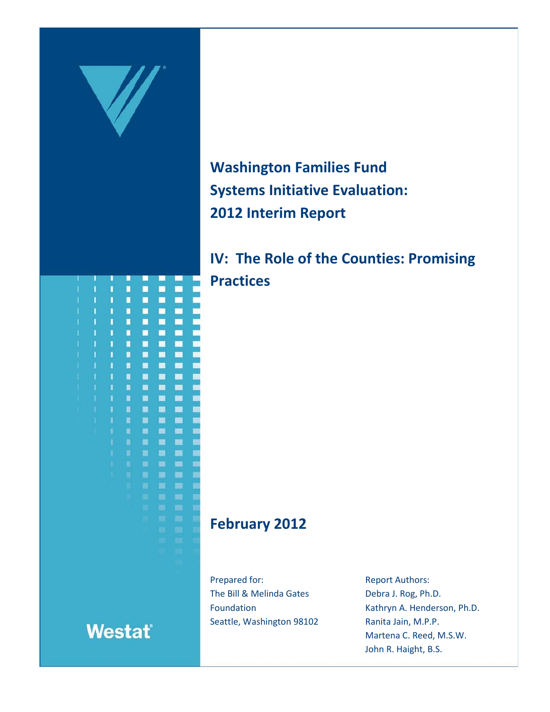

**Washington Families Fund Systems Initiative Evaluation: 2012 Interim Report**

**IV: The Role of the Counties: Promising Practices**

# **February 2012**

Prepared for: The Bill & Melinda Gates Foundation Seattle, Washington 98102 Report Authors: Debra J. Rog, Ph.D. Kathryn A. Henderson, Ph.D. Ranita Jain, M.P.P. Martena C. Reed, M.S.W. John R. Haight, B.S.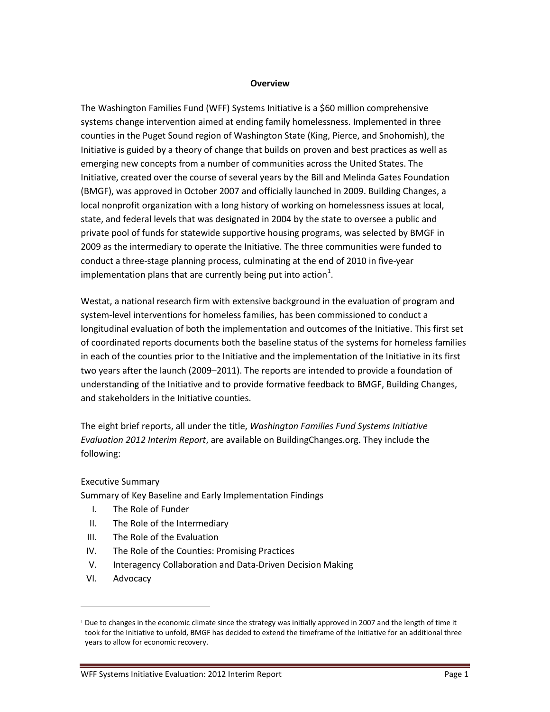#### **Overview**

The Washington Families Fund (WFF) Systems Initiative is a \$60 million comprehensive systems change intervention aimed at ending family homelessness. Implemented in three counties in the Puget Sound region of Washington State (King, Pierce, and Snohomish), the Initiative is guided by a theory of change that builds on proven and best practices as well as emerging new concepts from a number of communities across the United States. The Initiative, created over the course of several years by the Bill and Melinda Gates Foundation (BMGF), was approved in October 2007 and officially launched in 2009. Building Changes, a local nonprofit organization with a long history of working on homelessness issues at local, state, and federal levels that was designated in 2004 by the state to oversee a public and private pool of funds for statewide supportive housing programs, was selected by BMGF in 2009 as the intermediary to operate the Initiative. The three communities were funded to conduct a three-stage planning process, culminating at the end of 2010 in five-year implementation plans that are currently being put into action<sup>[1](#page-1-0)</sup>.

Westat, a national research firm with extensive background in the evaluation of program and system-level interventions for homeless families, has been commissioned to conduct a longitudinal evaluation of both the implementation and outcomes of the Initiative. This first set of coordinated reports documents both the baseline status of the systems for homeless families in each of the counties prior to the Initiative and the implementation of the Initiative in its first two years after the launch (2009–2011). The reports are intended to provide a foundation of understanding of the Initiative and to provide formative feedback to BMGF, Building Changes, and stakeholders in the Initiative counties.

The eight brief reports, all under the title, *Washington Families Fund Systems Initiative Evaluation 2012 Interim Report*, are available on BuildingChanges.org. They include the following:

### Executive Summary

Summary of Key Baseline and Early Implementation Findings

- I. The Role of Funder
- II. The Role of the Intermediary
- III. The Role of the Evaluation
- IV. The Role of the Counties: Promising Practices
- V. Interagency Collaboration and Data-Driven Decision Making
- VI. Advocacy

 $\overline{a}$ 

<span id="page-1-0"></span><sup>&</sup>lt;sup>1</sup> Due to changes in the economic climate since the strategy was initially approved in 2007 and the length of time it took for the Initiative to unfold, BMGF has decided to extend the timeframe of the Initiative for an additional three years to allow for economic recovery.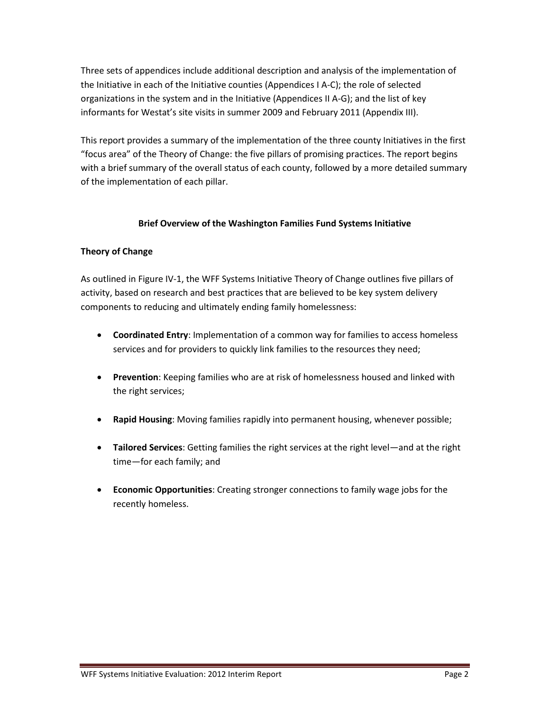Three sets of appendices include additional description and analysis of the implementation of the Initiative in each of the Initiative counties (Appendices I A-C); the role of selected organizations in the system and in the Initiative (Appendices II A-G); and the list of key informants for Westat's site visits in summer 2009 and February 2011 (Appendix III).

This report provides a summary of the implementation of the three county Initiatives in the first "focus area" of the Theory of Change: the five pillars of promising practices. The report begins with a brief summary of the overall status of each county, followed by a more detailed summary of the implementation of each pillar.

# **Brief Overview of the Washington Families Fund Systems Initiative**

## **Theory of Change**

As outlined in Figure IV-1, the WFF Systems Initiative Theory of Change outlines five pillars of activity, based on research and best practices that are believed to be key system delivery components to reducing and ultimately ending family homelessness:

- **Coordinated Entry**: Implementation of a common way for families to access homeless services and for providers to quickly link families to the resources they need;
- **Prevention**: Keeping families who are at risk of homelessness housed and linked with the right services;
- **Rapid Housing**: Moving families rapidly into permanent housing, whenever possible;
- **Tailored Services**: Getting families the right services at the right level—and at the right time—for each family; and
- **Economic Opportunities**: Creating stronger connections to family wage jobs for the recently homeless.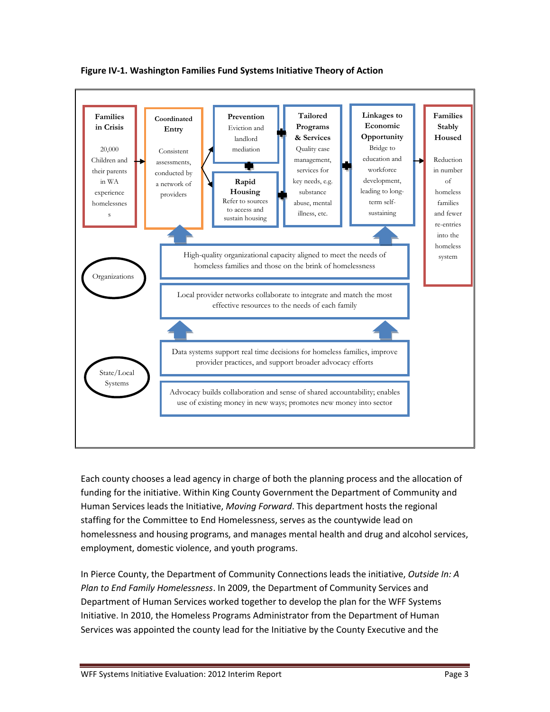

**Figure IV-1. Washington Families Fund Systems Initiative Theory of Action**

Each county chooses a lead agency in charge of both the planning process and the allocation of funding for the initiative. Within King County Government the Department of Community and Human Services leads the Initiative, *Moving Forward*. This department hosts the regional staffing for the Committee to End Homelessness, serves as the countywide lead on homelessness and housing programs, and manages mental health and drug and alcohol services, employment, domestic violence, and youth programs.

In Pierce County, the Department of Community Connections leads the initiative, *Outside In: A Plan to End Family Homelessness*. In 2009, the Department of Community Services and Department of Human Services worked together to develop the plan for the WFF Systems Initiative. In 2010, the Homeless Programs Administrator from the Department of Human Services was appointed the county lead for the Initiative by the County Executive and the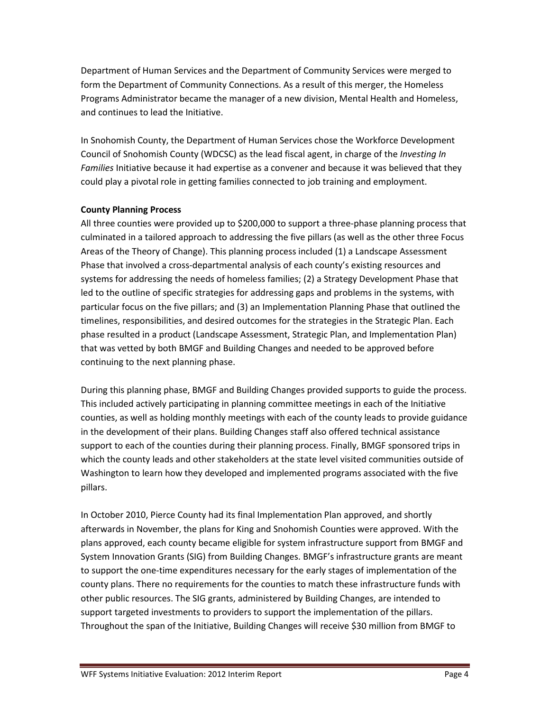Department of Human Services and the Department of Community Services were merged to form the Department of Community Connections. As a result of this merger, the Homeless Programs Administrator became the manager of a new division, Mental Health and Homeless, and continues to lead the Initiative.

In Snohomish County, the Department of Human Services chose the Workforce Development Council of Snohomish County (WDCSC) as the lead fiscal agent, in charge of the *Investing In Families* Initiative because it had expertise as a convener and because it was believed that they could play a pivotal role in getting families connected to job training and employment.

## **County Planning Process**

All three counties were provided up to \$200,000 to support a three-phase planning process that culminated in a tailored approach to addressing the five pillars (as well as the other three Focus Areas of the Theory of Change). This planning process included (1) a Landscape Assessment Phase that involved a cross-departmental analysis of each county's existing resources and systems for addressing the needs of homeless families; (2) a Strategy Development Phase that led to the outline of specific strategies for addressing gaps and problems in the systems, with particular focus on the five pillars; and (3) an Implementation Planning Phase that outlined the timelines, responsibilities, and desired outcomes for the strategies in the Strategic Plan. Each phase resulted in a product (Landscape Assessment, Strategic Plan, and Implementation Plan) that was vetted by both BMGF and Building Changes and needed to be approved before continuing to the next planning phase.

During this planning phase, BMGF and Building Changes provided supports to guide the process. This included actively participating in planning committee meetings in each of the Initiative counties, as well as holding monthly meetings with each of the county leads to provide guidance in the development of their plans. Building Changes staff also offered technical assistance support to each of the counties during their planning process. Finally, BMGF sponsored trips in which the county leads and other stakeholders at the state level visited communities outside of Washington to learn how they developed and implemented programs associated with the five pillars.

In October 2010, Pierce County had its final Implementation Plan approved, and shortly afterwards in November, the plans for King and Snohomish Counties were approved. With the plans approved, each county became eligible for system infrastructure support from BMGF and System Innovation Grants (SIG) from Building Changes. BMGF's infrastructure grants are meant to support the one-time expenditures necessary for the early stages of implementation of the county plans. There no requirements for the counties to match these infrastructure funds with other public resources. The SIG grants, administered by Building Changes, are intended to support targeted investments to providers to support the implementation of the pillars. Throughout the span of the Initiative, Building Changes will receive \$30 million from BMGF to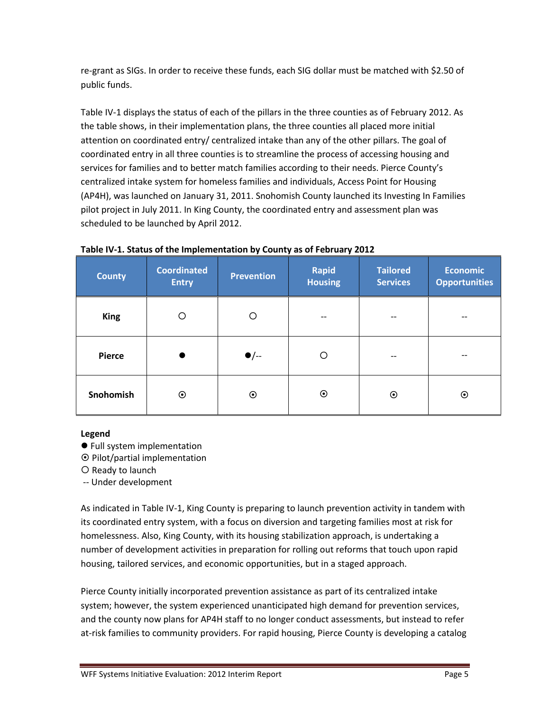re-grant as SIGs. In order to receive these funds, each SIG dollar must be matched with \$2.50 of public funds.

Table IV-1 displays the status of each of the pillars in the three counties as of February 2012. As the table shows, in their implementation plans, the three counties all placed more initial attention on coordinated entry/ centralized intake than any of the other pillars. The goal of coordinated entry in all three counties is to streamline the process of accessing housing and services for families and to better match families according to their needs. Pierce County's centralized intake system for homeless families and individuals, Access Point for Housing (AP4H), was launched on January 31, 2011. Snohomish County launched its Investing In Families pilot project in July 2011. In King County, the coordinated entry and assessment plan was scheduled to be launched by April 2012.

| <b>County</b> | <b>Coordinated</b><br><b>Entry</b> | <b>Prevention</b> | <b>Rapid</b><br><b>Housing</b> | <b>Tailored</b><br><b>Services</b> | <b>Economic</b><br><b>Opportunities</b> |
|---------------|------------------------------------|-------------------|--------------------------------|------------------------------------|-----------------------------------------|
| <b>King</b>   | O                                  | O                 | $- -$                          | --                                 | --                                      |
| <b>Pierce</b> |                                    | $\bullet$ /--     | ∩                              | --                                 |                                         |
| Snohomish     | $\odot$                            | $\odot$           | $\odot$                        | $\boldsymbol{\odot}$               | $\odot$                                 |

### **Table IV-1. Status of the Implementation by County as of February 2012**

### **Legend**

- Full system implementation
- $\odot$  Pilot/partial implementation
- O Ready to launch
- -- Under development

As indicated in Table IV-1, King County is preparing to launch prevention activity in tandem with its coordinated entry system, with a focus on diversion and targeting families most at risk for homelessness. Also, King County, with its housing stabilization approach, is undertaking a number of development activities in preparation for rolling out reforms that touch upon rapid housing, tailored services, and economic opportunities, but in a staged approach.

Pierce County initially incorporated prevention assistance as part of its centralized intake system; however, the system experienced unanticipated high demand for prevention services, and the county now plans for AP4H staff to no longer conduct assessments, but instead to refer at-risk families to community providers. For rapid housing, Pierce County is developing a catalog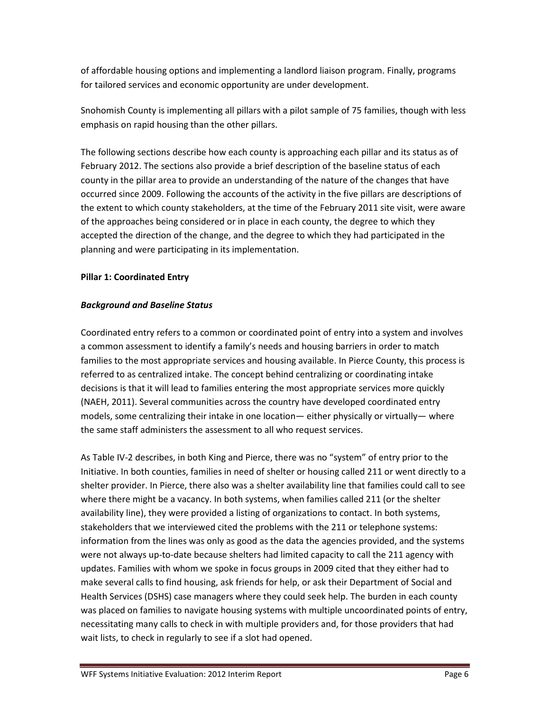of affordable housing options and implementing a landlord liaison program. Finally, programs for tailored services and economic opportunity are under development.

Snohomish County is implementing all pillars with a pilot sample of 75 families, though with less emphasis on rapid housing than the other pillars.

The following sections describe how each county is approaching each pillar and its status as of February 2012. The sections also provide a brief description of the baseline status of each county in the pillar area to provide an understanding of the nature of the changes that have occurred since 2009. Following the accounts of the activity in the five pillars are descriptions of the extent to which county stakeholders, at the time of the February 2011 site visit, were aware of the approaches being considered or in place in each county, the degree to which they accepted the direction of the change, and the degree to which they had participated in the planning and were participating in its implementation.

## **Pillar 1: Coordinated Entry**

## *Background and Baseline Status*

Coordinated entry refers to a common or coordinated point of entry into a system and involves a common assessment to identify a family's needs and housing barriers in order to match families to the most appropriate services and housing available. In Pierce County, this process is referred to as centralized intake. The concept behind centralizing or coordinating intake decisions is that it will lead to families entering the most appropriate services more quickly (NAEH, 2011). Several communities across the country have developed coordinated entry models, some centralizing their intake in one location— either physically or virtually— where the same staff administers the assessment to all who request services.

As Table IV-2 describes, in both King and Pierce, there was no "system" of entry prior to the Initiative. In both counties, families in need of shelter or housing called 211 or went directly to a shelter provider. In Pierce, there also was a shelter availability line that families could call to see where there might be a vacancy. In both systems, when families called 211 (or the shelter availability line), they were provided a listing of organizations to contact. In both systems, stakeholders that we interviewed cited the problems with the 211 or telephone systems: information from the lines was only as good as the data the agencies provided, and the systems were not always up-to-date because shelters had limited capacity to call the 211 agency with updates. Families with whom we spoke in focus groups in 2009 cited that they either had to make several calls to find housing, ask friends for help, or ask their Department of Social and Health Services (DSHS) case managers where they could seek help. The burden in each county was placed on families to navigate housing systems with multiple uncoordinated points of entry, necessitating many calls to check in with multiple providers and, for those providers that had wait lists, to check in regularly to see if a slot had opened.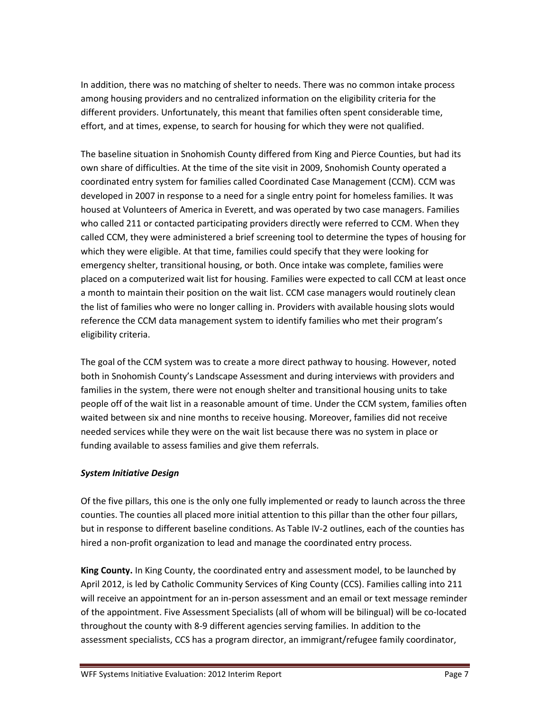In addition, there was no matching of shelter to needs. There was no common intake process among housing providers and no centralized information on the eligibility criteria for the different providers. Unfortunately, this meant that families often spent considerable time, effort, and at times, expense, to search for housing for which they were not qualified.

The baseline situation in Snohomish County differed from King and Pierce Counties, but had its own share of difficulties. At the time of the site visit in 2009, Snohomish County operated a coordinated entry system for families called Coordinated Case Management (CCM). CCM was developed in 2007 in response to a need for a single entry point for homeless families. It was housed at Volunteers of America in Everett, and was operated by two case managers. Families who called 211 or contacted participating providers directly were referred to CCM. When they called CCM, they were administered a brief screening tool to determine the types of housing for which they were eligible. At that time, families could specify that they were looking for emergency shelter, transitional housing, or both. Once intake was complete, families were placed on a computerized wait list for housing. Families were expected to call CCM at least once a month to maintain their position on the wait list. CCM case managers would routinely clean the list of families who were no longer calling in. Providers with available housing slots would reference the CCM data management system to identify families who met their program's eligibility criteria.

The goal of the CCM system was to create a more direct pathway to housing. However, noted both in Snohomish County's Landscape Assessment and during interviews with providers and families in the system, there were not enough shelter and transitional housing units to take people off of the wait list in a reasonable amount of time. Under the CCM system, families often waited between six and nine months to receive housing. Moreover, families did not receive needed services while they were on the wait list because there was no system in place or funding available to assess families and give them referrals.

# *System Initiative Design*

Of the five pillars, this one is the only one fully implemented or ready to launch across the three counties. The counties all placed more initial attention to this pillar than the other four pillars, but in response to different baseline conditions. As Table IV-2 outlines, each of the counties has hired a non-profit organization to lead and manage the coordinated entry process.

**King County.** In King County, the coordinated entry and assessment model, to be launched by April 2012, is led by Catholic Community Services of King County (CCS). Families calling into 211 will receive an appointment for an in-person assessment and an email or text message reminder of the appointment. Five Assessment Specialists (all of whom will be bilingual) will be co-located throughout the county with 8-9 different agencies serving families. In addition to the assessment specialists, CCS has a program director, an immigrant/refugee family coordinator,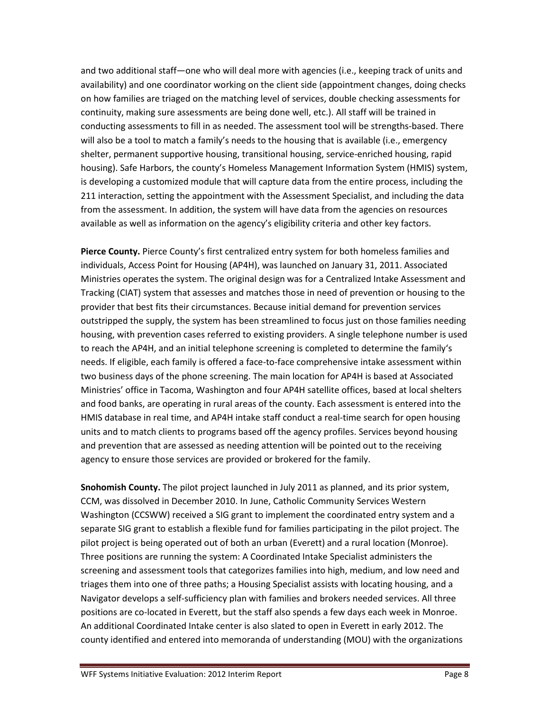and two additional staff—one who will deal more with agencies (i.e., keeping track of units and availability) and one coordinator working on the client side (appointment changes, doing checks on how families are triaged on the matching level of services, double checking assessments for continuity, making sure assessments are being done well, etc.). All staff will be trained in conducting assessments to fill in as needed. The assessment tool will be strengths-based. There will also be a tool to match a family's needs to the housing that is available (i.e., emergency shelter, permanent supportive housing, transitional housing, service-enriched housing, rapid housing). Safe Harbors, the county's Homeless Management Information System (HMIS) system, is developing a customized module that will capture data from the entire process, including the 211 interaction, setting the appointment with the Assessment Specialist, and including the data from the assessment. In addition, the system will have data from the agencies on resources available as well as information on the agency's eligibility criteria and other key factors.

**Pierce County.** Pierce County's first centralized entry system for both homeless families and individuals, Access Point for Housing (AP4H), was launched on January 31, 2011. Associated Ministries operates the system. The original design was for a Centralized Intake Assessment and Tracking (CIAT) system that assesses and matches those in need of prevention or housing to the provider that best fits their circumstances. Because initial demand for prevention services outstripped the supply, the system has been streamlined to focus just on those families needing housing, with prevention cases referred to existing providers. A single telephone number is used to reach the AP4H, and an initial telephone screening is completed to determine the family's needs. If eligible, each family is offered a face-to-face comprehensive intake assessment within two business days of the phone screening. The main location for AP4H is based at Associated Ministries' office in Tacoma, Washington and four AP4H satellite offices, based at local shelters and food banks, are operating in rural areas of the county. Each assessment is entered into the HMIS database in real time, and AP4H intake staff conduct a real-time search for open housing units and to match clients to programs based off the agency profiles. Services beyond housing and prevention that are assessed as needing attention will be pointed out to the receiving agency to ensure those services are provided or brokered for the family.

**Snohomish County.** The pilot project launched in July 2011 as planned, and its prior system, CCM, was dissolved in December 2010. In June, Catholic Community Services Western Washington (CCSWW) received a SIG grant to implement the coordinated entry system and a separate SIG grant to establish a flexible fund for families participating in the pilot project. The pilot project is being operated out of both an urban (Everett) and a rural location (Monroe). Three positions are running the system: A Coordinated Intake Specialist administers the screening and assessment tools that categorizes families into high, medium, and low need and triages them into one of three paths; a Housing Specialist assists with locating housing, and a Navigator develops a self-sufficiency plan with families and brokers needed services. All three positions are co-located in Everett, but the staff also spends a few days each week in Monroe. An additional Coordinated Intake center is also slated to open in Everett in early 2012. The county identified and entered into memoranda of understanding (MOU) with the organizations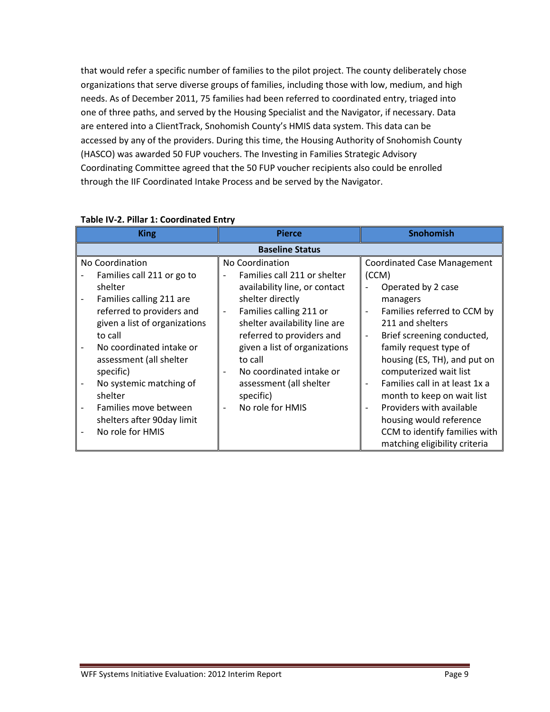that would refer a specific number of families to the pilot project. The county deliberately chose organizations that serve diverse groups of families, including those with low, medium, and high needs. As of December 2011, 75 families had been referred to coordinated entry, triaged into one of three paths, and served by the Housing Specialist and the Navigator, if necessary. Data are entered into a ClientTrack, Snohomish County's HMIS data system. This data can be accessed by any of the providers. During this time, the Housing Authority of Snohomish County (HASCO) was awarded 50 FUP vouchers. The Investing in Families Strategic Advisory Coordinating Committee agreed that the 50 FUP voucher recipients also could be enrolled through the IIF Coordinated Intake Process and be served by the Navigator.

| <b>King</b>                   | <b>Pierce</b>                                            | <b>Snohomish</b>                   |  |
|-------------------------------|----------------------------------------------------------|------------------------------------|--|
| <b>Baseline Status</b>        |                                                          |                                    |  |
| No Coordination               | No Coordination                                          | <b>Coordinated Case Management</b> |  |
| Families call 211 or go to    | Families call 211 or shelter<br>$\overline{\phantom{a}}$ | (CCM)                              |  |
| shelter                       | availability line, or contact                            | Operated by 2 case                 |  |
| Families calling 211 are      | shelter directly                                         | managers                           |  |
| referred to providers and     | Families calling 211 or<br>$\overline{\phantom{a}}$      | Families referred to CCM by        |  |
| given a list of organizations | shelter availability line are                            | 211 and shelters                   |  |
| to call                       | referred to providers and                                | Brief screening conducted,         |  |
| No coordinated intake or      | given a list of organizations                            | family request type of             |  |
| assessment (all shelter       | to call                                                  | housing (ES, TH), and put on       |  |
| specific)                     | No coordinated intake or                                 | computerized wait list             |  |
| No systemic matching of       | assessment (all shelter                                  | Families call in at least 1x a     |  |
| shelter                       | specific)                                                | month to keep on wait list         |  |
| Families move between         | No role for HMIS                                         | Providers with available           |  |
| shelters after 90day limit    |                                                          | housing would reference            |  |
| No role for HMIS              |                                                          | CCM to identify families with      |  |
|                               |                                                          | matching eligibility criteria      |  |

## **Table IV-2. Pillar 1: Coordinated Entry**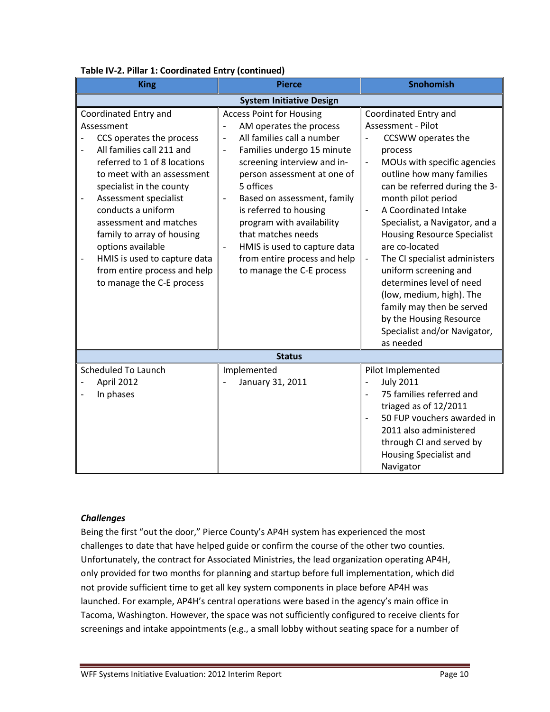| rabic rv-z. Finar 1. Coorumated Liftry (continued)<br><b>King</b>                                                                                                                                                                                                                                                                                                                                                                                                     | <b>Pierce</b>                                                                                                                                                                                                                                                                                                                                                                                                                                                                             | <b>Snohomish</b>                                                                                                                                                                                                                                                                                                                                                                                                                                                                                                                         |  |
|-----------------------------------------------------------------------------------------------------------------------------------------------------------------------------------------------------------------------------------------------------------------------------------------------------------------------------------------------------------------------------------------------------------------------------------------------------------------------|-------------------------------------------------------------------------------------------------------------------------------------------------------------------------------------------------------------------------------------------------------------------------------------------------------------------------------------------------------------------------------------------------------------------------------------------------------------------------------------------|------------------------------------------------------------------------------------------------------------------------------------------------------------------------------------------------------------------------------------------------------------------------------------------------------------------------------------------------------------------------------------------------------------------------------------------------------------------------------------------------------------------------------------------|--|
| <b>System Initiative Design</b>                                                                                                                                                                                                                                                                                                                                                                                                                                       |                                                                                                                                                                                                                                                                                                                                                                                                                                                                                           |                                                                                                                                                                                                                                                                                                                                                                                                                                                                                                                                          |  |
| Coordinated Entry and<br>Assessment<br>CCS operates the process<br>All families call 211 and<br>$\overline{a}$<br>referred to 1 of 8 locations<br>to meet with an assessment<br>specialist in the county<br>Assessment specialist<br>$\overline{a}$<br>conducts a uniform<br>assessment and matches<br>family to array of housing<br>options available<br>HMIS is used to capture data<br>$\overline{a}$<br>from entire process and help<br>to manage the C-E process | <b>Access Point for Housing</b><br>AM operates the process<br>All families call a number<br>$\overline{\phantom{0}}$<br>Families undergo 15 minute<br>$\frac{1}{2}$<br>screening interview and in-<br>person assessment at one of<br>5 offices<br>Based on assessment, family<br>$\frac{1}{2}$<br>is referred to housing<br>program with availability<br>that matches needs<br>HMIS is used to capture data<br>$\frac{1}{2}$<br>from entire process and help<br>to manage the C-E process | Coordinated Entry and<br>Assessment - Pilot<br>CCSWW operates the<br>process<br>MOUs with specific agencies<br>outline how many families<br>can be referred during the 3-<br>month pilot period<br>A Coordinated Intake<br>Specialist, a Navigator, and a<br><b>Housing Resource Specialist</b><br>are co-located<br>The CI specialist administers<br>uniform screening and<br>determines level of need<br>(low, medium, high). The<br>family may then be served<br>by the Housing Resource<br>Specialist and/or Navigator,<br>as needed |  |
|                                                                                                                                                                                                                                                                                                                                                                                                                                                                       | <b>Status</b>                                                                                                                                                                                                                                                                                                                                                                                                                                                                             |                                                                                                                                                                                                                                                                                                                                                                                                                                                                                                                                          |  |
| <b>Scheduled To Launch</b><br>April 2012<br>In phases                                                                                                                                                                                                                                                                                                                                                                                                                 | Implemented<br>January 31, 2011                                                                                                                                                                                                                                                                                                                                                                                                                                                           | Pilot Implemented<br><b>July 2011</b><br>$\qquad \qquad \blacksquare$<br>75 families referred and<br>triaged as of 12/2011<br>50 FUP vouchers awarded in<br>$\overline{\phantom{a}}$<br>2011 also administered<br>through CI and served by<br>Housing Specialist and<br>Navigator                                                                                                                                                                                                                                                        |  |

# **Table IV-2. Pillar 1: Coordinated Entry (continued)**

### *Challenges*

Being the first "out the door," Pierce County's AP4H system has experienced the most challenges to date that have helped guide or confirm the course of the other two counties. Unfortunately, the contract for Associated Ministries, the lead organization operating AP4H, only provided for two months for planning and startup before full implementation, which did not provide sufficient time to get all key system components in place before AP4H was launched. For example, AP4H's central operations were based in the agency's main office in Tacoma, Washington. However, the space was not sufficiently configured to receive clients for screenings and intake appointments (e.g., a small lobby without seating space for a number of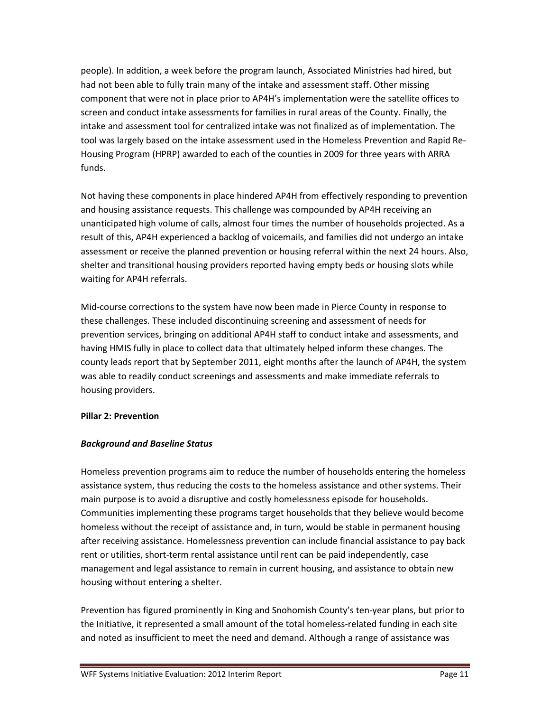people). In addition, a week before the program launch, Associated Ministries had hired, but had not been able to fully train many of the intake and assessment staff. Other missing component that were not in place prior to AP4H's implementation were the satellite offices to screen and conduct intake assessments for families in rural areas of the County. Finally, the intake and assessment tool for centralized intake was not finalized as of implementation. The tool was largely based on the intake assessment used in the Homeless Prevention and Rapid Re-Housing Program (HPRP) awarded to each of the counties in 2009 for three years with ARRA funds.

Not having these components in place hindered AP4H from effectively responding to prevention and housing assistance requests. This challenge was compounded by AP4H receiving an unanticipated high volume of calls, almost four times the number of households projected. As a result of this, AP4H experienced a backlog of voicemails, and families did not undergo an intake assessment or receive the planned prevention or housing referral within the next 24 hours. Also, shelter and transitional housing providers reported having empty beds or housing slots while waiting for AP4H referrals.

Mid-course corrections to the system have now been made in Pierce County in response to these challenges. These included discontinuing screening and assessment of needs for prevention services, bringing on additional AP4H staff to conduct intake and assessments, and having HMIS fully in place to collect data that ultimately helped inform these changes. The county leads report that by September 2011, eight months after the launch of AP4H, the system was able to readily conduct screenings and assessments and make immediate referrals to housing providers.

### **Pillar 2: Prevention**

### *Background and Baseline Status*

Homeless prevention programs aim to reduce the number of households entering the homeless assistance system, thus reducing the costs to the homeless assistance and other systems. Their main purpose is to avoid a disruptive and costly homelessness episode for households. Communities implementing these programs target households that they believe would become homeless without the receipt of assistance and, in turn, would be stable in permanent housing after receiving assistance. Homelessness prevention can include financial assistance to pay back rent or utilities, short-term rental assistance until rent can be paid independently, case management and legal assistance to remain in current housing, and assistance to obtain new housing without entering a shelter.

Prevention has figured prominently in King and Snohomish County's ten-year plans, but prior to the Initiative, it represented a small amount of the total homeless-related funding in each site and noted as insufficient to meet the need and demand. Although a range of assistance was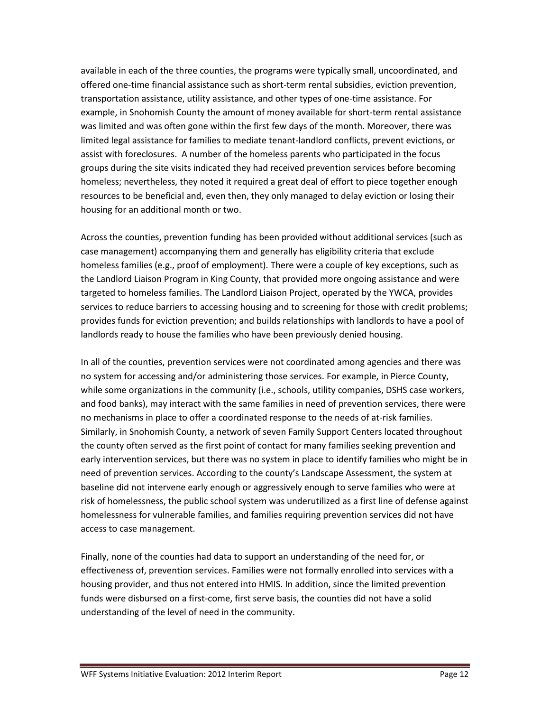available in each of the three counties, the programs were typically small, uncoordinated, and offered one-time financial assistance such as short-term rental subsidies, eviction prevention, transportation assistance, utility assistance, and other types of one-time assistance. For example, in Snohomish County the amount of money available for short-term rental assistance was limited and was often gone within the first few days of the month. Moreover, there was limited legal assistance for families to mediate tenant-landlord conflicts, prevent evictions, or assist with foreclosures. A number of the homeless parents who participated in the focus groups during the site visits indicated they had received prevention services before becoming homeless; nevertheless, they noted it required a great deal of effort to piece together enough resources to be beneficial and, even then, they only managed to delay eviction or losing their housing for an additional month or two.

Across the counties, prevention funding has been provided without additional services (such as case management) accompanying them and generally has eligibility criteria that exclude homeless families (e.g., proof of employment). There were a couple of key exceptions, such as the Landlord Liaison Program in King County, that provided more ongoing assistance and were targeted to homeless families. The Landlord Liaison Project, operated by the YWCA, provides services to reduce barriers to accessing housing and to screening for those with credit problems; provides funds for eviction prevention; and builds relationships with landlords to have a pool of landlords ready to house the families who have been previously denied housing.

In all of the counties, prevention services were not coordinated among agencies and there was no system for accessing and/or administering those services. For example, in Pierce County, while some organizations in the community (i.e., schools, utility companies, DSHS case workers, and food banks), may interact with the same families in need of prevention services, there were no mechanisms in place to offer a coordinated response to the needs of at-risk families. Similarly, in Snohomish County, a network of seven Family Support Centers located throughout the county often served as the first point of contact for many families seeking prevention and early intervention services, but there was no system in place to identify families who might be in need of prevention services. According to the county's Landscape Assessment, the system at baseline did not intervene early enough or aggressively enough to serve families who were at risk of homelessness, the public school system was underutilized as a first line of defense against homelessness for vulnerable families, and families requiring prevention services did not have access to case management.

Finally, none of the counties had data to support an understanding of the need for, or effectiveness of, prevention services. Families were not formally enrolled into services with a housing provider, and thus not entered into HMIS. In addition, since the limited prevention funds were disbursed on a first-come, first serve basis, the counties did not have a solid understanding of the level of need in the community.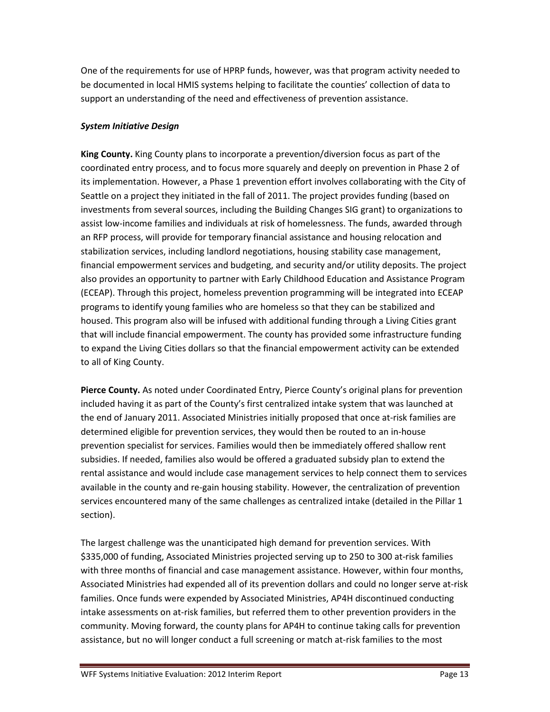One of the requirements for use of HPRP funds, however, was that program activity needed to be documented in local HMIS systems helping to facilitate the counties' collection of data to support an understanding of the need and effectiveness of prevention assistance.

# *System Initiative Design*

**King County.** King County plans to incorporate a prevention/diversion focus as part of the coordinated entry process, and to focus more squarely and deeply on prevention in Phase 2 of its implementation. However, a Phase 1 prevention effort involves collaborating with the City of Seattle on a project they initiated in the fall of 2011. The project provides funding (based on investments from several sources, including the Building Changes SIG grant) to organizations to assist low-income families and individuals at risk of homelessness. The funds, awarded through an RFP process, will provide for temporary financial assistance and housing relocation and stabilization services, including landlord negotiations, housing stability case management, financial empowerment services and budgeting, and security and/or utility deposits. The project also provides an opportunity to partner with Early Childhood Education and Assistance Program (ECEAP). Through this project, homeless prevention programming will be integrated into ECEAP programs to identify young families who are homeless so that they can be stabilized and housed. This program also will be infused with additional funding through a Living Cities grant that will include financial empowerment. The county has provided some infrastructure funding to expand the Living Cities dollars so that the financial empowerment activity can be extended to all of King County.

**Pierce County.** As noted under Coordinated Entry, Pierce County's original plans for prevention included having it as part of the County's first centralized intake system that was launched at the end of January 2011. Associated Ministries initially proposed that once at-risk families are determined eligible for prevention services, they would then be routed to an in-house prevention specialist for services. Families would then be immediately offered shallow rent subsidies. If needed, families also would be offered a graduated subsidy plan to extend the rental assistance and would include case management services to help connect them to services available in the county and re-gain housing stability. However, the centralization of prevention services encountered many of the same challenges as centralized intake (detailed in the Pillar 1 section).

The largest challenge was the unanticipated high demand for prevention services. With \$335,000 of funding, Associated Ministries projected serving up to 250 to 300 at-risk families with three months of financial and case management assistance. However, within four months, Associated Ministries had expended all of its prevention dollars and could no longer serve at-risk families. Once funds were expended by Associated Ministries, AP4H discontinued conducting intake assessments on at-risk families, but referred them to other prevention providers in the community. Moving forward, the county plans for AP4H to continue taking calls for prevention assistance, but no will longer conduct a full screening or match at-risk families to the most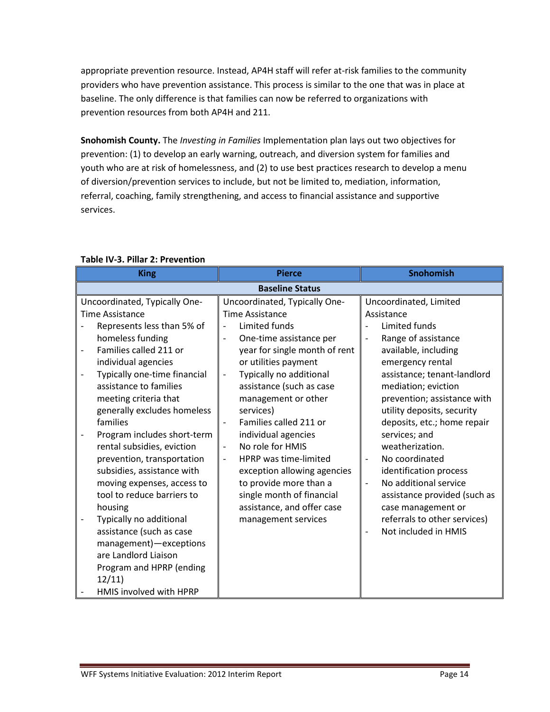appropriate prevention resource. Instead, AP4H staff will refer at-risk families to the community providers who have prevention assistance. This process is similar to the one that was in place at baseline. The only difference is that families can now be referred to organizations with prevention resources from both AP4H and 211.

**Snohomish County.** The *Investing in Families* Implementation plan lays out two objectives for prevention: (1) to develop an early warning, outreach, and diversion system for families and youth who are at risk of homelessness, and (2) to use best practices research to develop a menu of diversion/prevention services to include, but not be limited to, mediation, information, referral, coaching, family strengthening, and access to financial assistance and supportive services.

# **Table IV-3. Pillar 2: Prevention**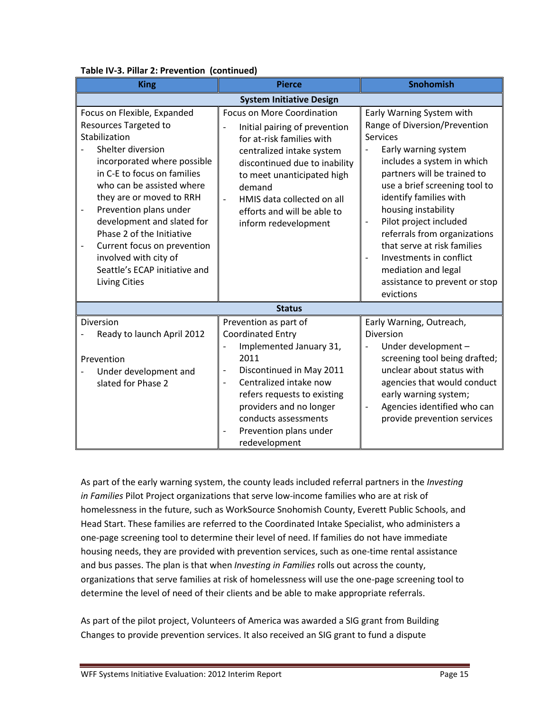| <b>King</b>                                                                                                                                                                                                                                                                                                                                                                                                                                                                            | <b>Pierce</b>                                                                                                                                                                                                                                                                                                                            | <b>Snohomish</b>                                                                                                                                                                                                                                                                                                                                                                                                                                                |  |
|----------------------------------------------------------------------------------------------------------------------------------------------------------------------------------------------------------------------------------------------------------------------------------------------------------------------------------------------------------------------------------------------------------------------------------------------------------------------------------------|------------------------------------------------------------------------------------------------------------------------------------------------------------------------------------------------------------------------------------------------------------------------------------------------------------------------------------------|-----------------------------------------------------------------------------------------------------------------------------------------------------------------------------------------------------------------------------------------------------------------------------------------------------------------------------------------------------------------------------------------------------------------------------------------------------------------|--|
| <b>System Initiative Design</b>                                                                                                                                                                                                                                                                                                                                                                                                                                                        |                                                                                                                                                                                                                                                                                                                                          |                                                                                                                                                                                                                                                                                                                                                                                                                                                                 |  |
| Focus on Flexible, Expanded<br><b>Resources Targeted to</b><br>Stabilization<br>Shelter diversion<br>incorporated where possible<br>in C-E to focus on families<br>who can be assisted where<br>they are or moved to RRH<br>Prevention plans under<br>$\overline{\phantom{0}}$<br>development and slated for<br>Phase 2 of the Initiative<br>Current focus on prevention<br>$\overline{\phantom{0}}$<br>involved with city of<br>Seattle's ECAP initiative and<br><b>Living Cities</b> | <b>Focus on More Coordination</b><br>Initial pairing of prevention<br>$\overline{a}$<br>for at-risk families with<br>centralized intake system<br>discontinued due to inability<br>to meet unanticipated high<br>demand<br>HMIS data collected on all<br>$\overline{\phantom{a}}$<br>efforts and will be able to<br>inform redevelopment | Early Warning System with<br>Range of Diversion/Prevention<br><b>Services</b><br>Early warning system<br>includes a system in which<br>partners will be trained to<br>use a brief screening tool to<br>identify families with<br>housing instability<br>Pilot project included<br>$\overline{a}$<br>referrals from organizations<br>that serve at risk families<br>Investments in conflict<br>mediation and legal<br>assistance to prevent or stop<br>evictions |  |
|                                                                                                                                                                                                                                                                                                                                                                                                                                                                                        | <b>Status</b>                                                                                                                                                                                                                                                                                                                            |                                                                                                                                                                                                                                                                                                                                                                                                                                                                 |  |
| Diversion<br>Ready to launch April 2012<br>Prevention<br>Under development and<br>slated for Phase 2                                                                                                                                                                                                                                                                                                                                                                                   | Prevention as part of<br><b>Coordinated Entry</b><br>Implemented January 31,<br>2011<br>Discontinued in May 2011<br>$\qquad \qquad -$<br>Centralized intake now<br>$\overline{a}$<br>refers requests to existing<br>providers and no longer<br>conducts assessments<br>Prevention plans under<br>redevelopment                           | Early Warning, Outreach,<br>Diversion<br>Under development -<br>screening tool being drafted;<br>unclear about status with<br>agencies that would conduct<br>early warning system;<br>Agencies identified who can<br>$\overline{\phantom{0}}$<br>provide prevention services                                                                                                                                                                                    |  |

### **Table IV-3. Pillar 2: Prevention (continued)**

As part of the early warning system, the county leads included referral partners in the *Investing in Families* Pilot Project organizations that serve low-income families who are at risk of homelessness in the future, such as WorkSource Snohomish County, Everett Public Schools, and Head Start. These families are referred to the Coordinated Intake Specialist, who administers a one-page screening tool to determine their level of need. If families do not have immediate housing needs, they are provided with prevention services, such as one-time rental assistance and bus passes. The plan is that when *Investing in Families* rolls out across the county, organizations that serve families at risk of homelessness will use the one-page screening tool to determine the level of need of their clients and be able to make appropriate referrals.

As part of the pilot project, Volunteers of America was awarded a SIG grant from Building Changes to provide prevention services. It also received an SIG grant to fund a dispute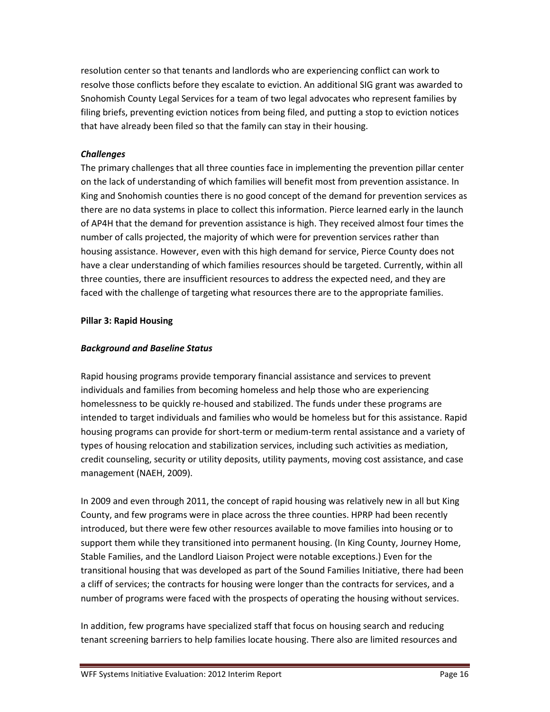resolution center so that tenants and landlords who are experiencing conflict can work to resolve those conflicts before they escalate to eviction. An additional SIG grant was awarded to Snohomish County Legal Services for a team of two legal advocates who represent families by filing briefs, preventing eviction notices from being filed, and putting a stop to eviction notices that have already been filed so that the family can stay in their housing.

# *Challenges*

The primary challenges that all three counties face in implementing the prevention pillar center on the lack of understanding of which families will benefit most from prevention assistance. In King and Snohomish counties there is no good concept of the demand for prevention services as there are no data systems in place to collect this information. Pierce learned early in the launch of AP4H that the demand for prevention assistance is high. They received almost four times the number of calls projected, the majority of which were for prevention services rather than housing assistance. However, even with this high demand for service, Pierce County does not have a clear understanding of which families resources should be targeted. Currently, within all three counties, there are insufficient resources to address the expected need, and they are faced with the challenge of targeting what resources there are to the appropriate families.

### **Pillar 3: Rapid Housing**

### *Background and Baseline Status*

Rapid housing programs provide temporary financial assistance and services to prevent individuals and families from becoming homeless and help those who are experiencing homelessness to be quickly re-housed and stabilized. The funds under these programs are intended to target individuals and families who would be homeless but for this assistance. Rapid housing programs can provide for short-term or medium-term rental assistance and a variety of types of housing relocation and stabilization services, including such activities as mediation, credit counseling, security or utility deposits, utility payments, moving cost assistance, and case management (NAEH, 2009).

In 2009 and even through 2011, the concept of rapid housing was relatively new in all but King County, and few programs were in place across the three counties. HPRP had been recently introduced, but there were few other resources available to move families into housing or to support them while they transitioned into permanent housing. (In King County, Journey Home, Stable Families, and the Landlord Liaison Project were notable exceptions.) Even for the transitional housing that was developed as part of the Sound Families Initiative, there had been a cliff of services; the contracts for housing were longer than the contracts for services, and a number of programs were faced with the prospects of operating the housing without services.

In addition, few programs have specialized staff that focus on housing search and reducing tenant screening barriers to help families locate housing. There also are limited resources and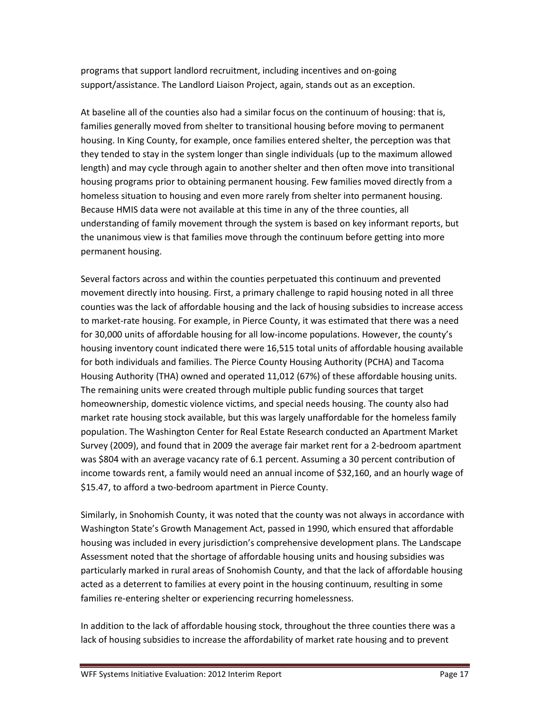programs that support landlord recruitment, including incentives and on-going support/assistance. The Landlord Liaison Project, again, stands out as an exception.

At baseline all of the counties also had a similar focus on the continuum of housing: that is, families generally moved from shelter to transitional housing before moving to permanent housing. In King County, for example, once families entered shelter, the perception was that they tended to stay in the system longer than single individuals (up to the maximum allowed length) and may cycle through again to another shelter and then often move into transitional housing programs prior to obtaining permanent housing. Few families moved directly from a homeless situation to housing and even more rarely from shelter into permanent housing. Because HMIS data were not available at this time in any of the three counties, all understanding of family movement through the system is based on key informant reports, but the unanimous view is that families move through the continuum before getting into more permanent housing.

Several factors across and within the counties perpetuated this continuum and prevented movement directly into housing. First, a primary challenge to rapid housing noted in all three counties was the lack of affordable housing and the lack of housing subsidies to increase access to market-rate housing. For example, in Pierce County, it was estimated that there was a need for 30,000 units of affordable housing for all low-income populations. However, the county's housing inventory count indicated there were 16,515 total units of affordable housing available for both individuals and families. The Pierce County Housing Authority (PCHA) and Tacoma Housing Authority (THA) owned and operated 11,012 (67%) of these affordable housing units. The remaining units were created through multiple public funding sources that target homeownership, domestic violence victims, and special needs housing. The county also had market rate housing stock available, but this was largely unaffordable for the homeless family population. The Washington Center for Real Estate Research conducted an Apartment Market Survey (2009), and found that in 2009 the average fair market rent for a 2-bedroom apartment was \$804 with an average vacancy rate of 6.1 percent. Assuming a 30 percent contribution of income towards rent, a family would need an annual income of \$32,160, and an hourly wage of \$15.47, to afford a two-bedroom apartment in Pierce County.

Similarly, in Snohomish County, it was noted that the county was not always in accordance with Washington State's Growth Management Act, passed in 1990, which ensured that affordable housing was included in every jurisdiction's comprehensive development plans. The Landscape Assessment noted that the shortage of affordable housing units and housing subsidies was particularly marked in rural areas of Snohomish County, and that the lack of affordable housing acted as a deterrent to families at every point in the housing continuum, resulting in some families re-entering shelter or experiencing recurring homelessness.

In addition to the lack of affordable housing stock, throughout the three counties there was a lack of housing subsidies to increase the affordability of market rate housing and to prevent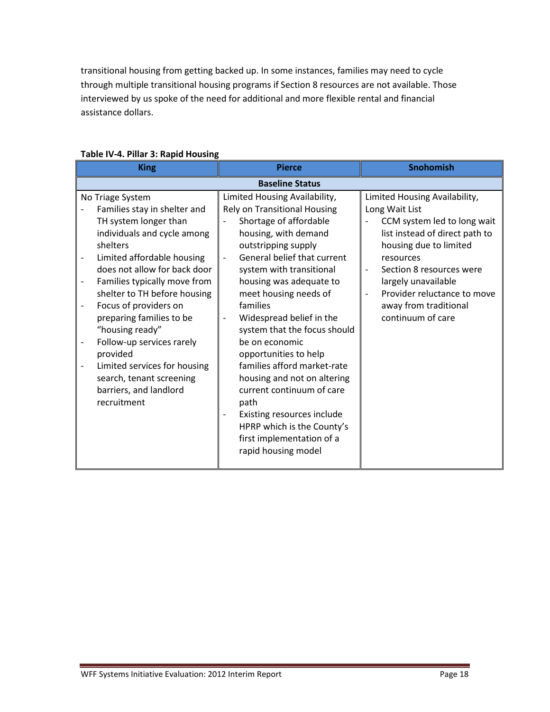transitional housing from getting backed up. In some instances, families may need to cycle through multiple transitional housing programs if Section 8 resources are not available. Those interviewed by us spoke of the need for additional and more flexible rental and financial assistance dollars.

| <b>King</b>                                                                                                                                                                                                                                                                                                                                                                                                                                                                                   | <b>Pierce</b>                                                                                                                                                                                                                                                                                                                                                                                                                                                                                                                                                                                                           | <b>Snohomish</b>                                                                                                                                                                                                                                                                        |  |
|-----------------------------------------------------------------------------------------------------------------------------------------------------------------------------------------------------------------------------------------------------------------------------------------------------------------------------------------------------------------------------------------------------------------------------------------------------------------------------------------------|-------------------------------------------------------------------------------------------------------------------------------------------------------------------------------------------------------------------------------------------------------------------------------------------------------------------------------------------------------------------------------------------------------------------------------------------------------------------------------------------------------------------------------------------------------------------------------------------------------------------------|-----------------------------------------------------------------------------------------------------------------------------------------------------------------------------------------------------------------------------------------------------------------------------------------|--|
| <b>Baseline Status</b>                                                                                                                                                                                                                                                                                                                                                                                                                                                                        |                                                                                                                                                                                                                                                                                                                                                                                                                                                                                                                                                                                                                         |                                                                                                                                                                                                                                                                                         |  |
| No Triage System<br>Families stay in shelter and<br>TH system longer than<br>individuals and cycle among<br>shelters<br>Limited affordable housing<br>does not allow for back door<br>Families typically move from<br>shelter to TH before housing<br>Focus of providers on<br>$\qquad \qquad -$<br>preparing families to be<br>"housing ready"<br>Follow-up services rarely<br>provided<br>Limited services for housing<br>search, tenant screening<br>barriers, and landlord<br>recruitment | Limited Housing Availability,<br>Rely on Transitional Housing<br>Shortage of affordable<br>housing, with demand<br>outstripping supply<br>General belief that current<br>system with transitional<br>housing was adequate to<br>meet housing needs of<br>families<br>Widespread belief in the<br>$\overline{\phantom{a}}$<br>system that the focus should<br>be on economic<br>opportunities to help<br>families afford market-rate<br>housing and not on altering<br>current continuum of care<br>path<br>Existing resources include<br>HPRP which is the County's<br>first implementation of a<br>rapid housing model | Limited Housing Availability,<br>Long Wait List<br>CCM system led to long wait<br>list instead of direct path to<br>housing due to limited<br>resources<br>Section 8 resources were<br>largely unavailable<br>Provider reluctance to move<br>away from traditional<br>continuum of care |  |

# **Table IV-4. Pillar 3: Rapid Housing**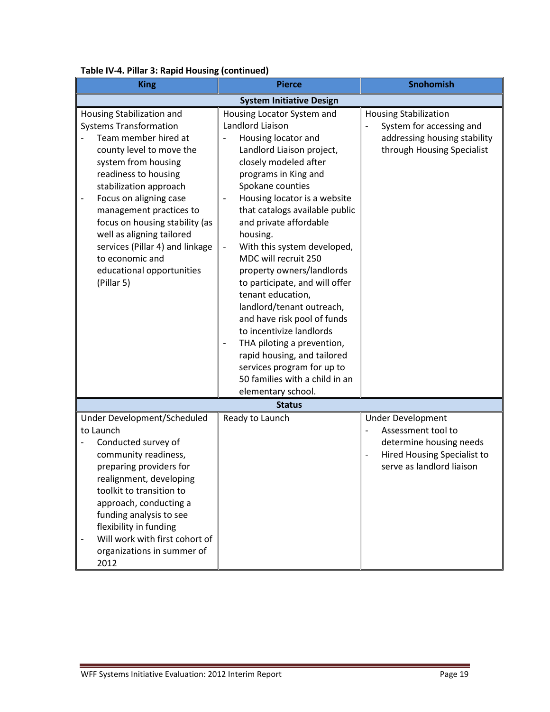| <br><b>King</b>                                                                                                                                                                                                                                                                                                                                                                                              | <b>Pierce</b>                                                                                                                                                                                                                                                                                                                                                                                                                                                                                                                                                                                                                                                                                                          | Snohomish                                                                                                                             |
|--------------------------------------------------------------------------------------------------------------------------------------------------------------------------------------------------------------------------------------------------------------------------------------------------------------------------------------------------------------------------------------------------------------|------------------------------------------------------------------------------------------------------------------------------------------------------------------------------------------------------------------------------------------------------------------------------------------------------------------------------------------------------------------------------------------------------------------------------------------------------------------------------------------------------------------------------------------------------------------------------------------------------------------------------------------------------------------------------------------------------------------------|---------------------------------------------------------------------------------------------------------------------------------------|
| <b>System Initiative Design</b>                                                                                                                                                                                                                                                                                                                                                                              |                                                                                                                                                                                                                                                                                                                                                                                                                                                                                                                                                                                                                                                                                                                        |                                                                                                                                       |
| Housing Stabilization and<br><b>Systems Transformation</b><br>Team member hired at<br>county level to move the<br>system from housing<br>readiness to housing<br>stabilization approach<br>Focus on aligning case<br>management practices to<br>focus on housing stability (as<br>well as aligning tailored<br>services (Pillar 4) and linkage<br>to economic and<br>educational opportunities<br>(Pillar 5) | Housing Locator System and<br>Landlord Liaison<br>Housing locator and<br>Landlord Liaison project,<br>closely modeled after<br>programs in King and<br>Spokane counties<br>Housing locator is a website<br>$\qquad \qquad -$<br>that catalogs available public<br>and private affordable<br>housing.<br>With this system developed,<br>$\overline{\phantom{a}}$<br>MDC will recruit 250<br>property owners/landlords<br>to participate, and will offer<br>tenant education,<br>landlord/tenant outreach,<br>and have risk pool of funds<br>to incentivize landlords<br>THA piloting a prevention,<br>rapid housing, and tailored<br>services program for up to<br>50 families with a child in an<br>elementary school. | <b>Housing Stabilization</b><br>System for accessing and<br>addressing housing stability<br>through Housing Specialist                |
|                                                                                                                                                                                                                                                                                                                                                                                                              | <b>Status</b>                                                                                                                                                                                                                                                                                                                                                                                                                                                                                                                                                                                                                                                                                                          |                                                                                                                                       |
| Under Development/Scheduled<br>to Launch<br>Conducted survey of<br>community readiness,<br>preparing providers for<br>realignment, developing<br>toolkit to transition to<br>approach, conducting a<br>funding analysis to see<br>flexibility in funding<br>Will work with first cohort of<br>organizations in summer of<br>2012                                                                             | Ready to Launch                                                                                                                                                                                                                                                                                                                                                                                                                                                                                                                                                                                                                                                                                                        | <b>Under Development</b><br>Assessment tool to<br>determine housing needs<br>Hired Housing Specialist to<br>serve as landlord liaison |

# **Table IV-4. Pillar 3: Rapid Housing (continued)**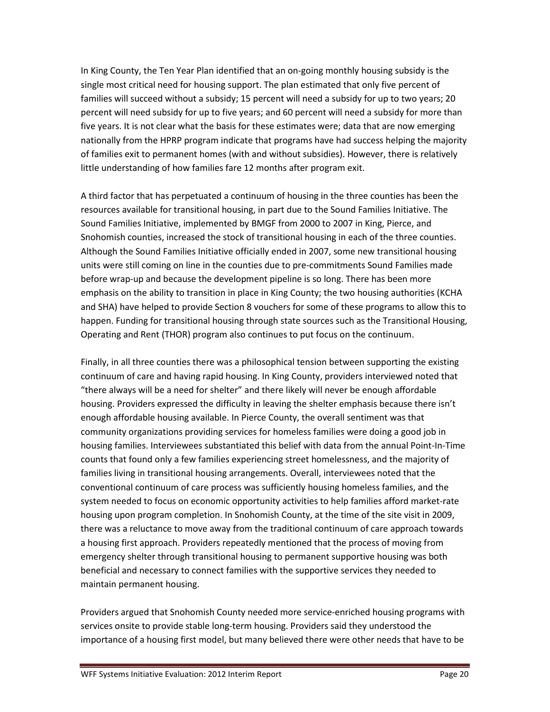In King County, the Ten Year Plan identified that an on-going monthly housing subsidy is the single most critical need for housing support. The plan estimated that only five percent of families will succeed without a subsidy; 15 percent will need a subsidy for up to two years; 20 percent will need subsidy for up to five years; and 60 percent will need a subsidy for more than five years. It is not clear what the basis for these estimates were; data that are now emerging nationally from the HPRP program indicate that programs have had success helping the majority of families exit to permanent homes (with and without subsidies). However, there is relatively little understanding of how families fare 12 months after program exit.

A third factor that has perpetuated a continuum of housing in the three counties has been the resources available for transitional housing, in part due to the Sound Families Initiative. The Sound Families Initiative, implemented by BMGF from 2000 to 2007 in King, Pierce, and Snohomish counties, increased the stock of transitional housing in each of the three counties. Although the Sound Families Initiative officially ended in 2007, some new transitional housing units were still coming on line in the counties due to pre-commitments Sound Families made before wrap-up and because the development pipeline is so long. There has been more emphasis on the ability to transition in place in King County; the two housing authorities (KCHA and SHA) have helped to provide Section 8 vouchers for some of these programs to allow this to happen. Funding for transitional housing through state sources such as the Transitional Housing, Operating and Rent (THOR) program also continues to put focus on the continuum.

Finally, in all three counties there was a philosophical tension between supporting the existing continuum of care and having rapid housing. In King County, providers interviewed noted that "there always will be a need for shelter" and there likely will never be enough affordable housing. Providers expressed the difficulty in leaving the shelter emphasis because there isn't enough affordable housing available. In Pierce County, the overall sentiment was that community organizations providing services for homeless families were doing a good job in housing families. Interviewees substantiated this belief with data from the annual Point-In-Time counts that found only a few families experiencing street homelessness, and the majority of families living in transitional housing arrangements. Overall, interviewees noted that the conventional continuum of care process was sufficiently housing homeless families, and the system needed to focus on economic opportunity activities to help families afford market-rate housing upon program completion. In Snohomish County, at the time of the site visit in 2009, there was a reluctance to move away from the traditional continuum of care approach towards a housing first approach. Providers repeatedly mentioned that the process of moving from emergency shelter through transitional housing to permanent supportive housing was both beneficial and necessary to connect families with the supportive services they needed to maintain permanent housing.

Providers argued that Snohomish County needed more service-enriched housing programs with services onsite to provide stable long-term housing. Providers said they understood the importance of a housing first model, but many believed there were other needs that have to be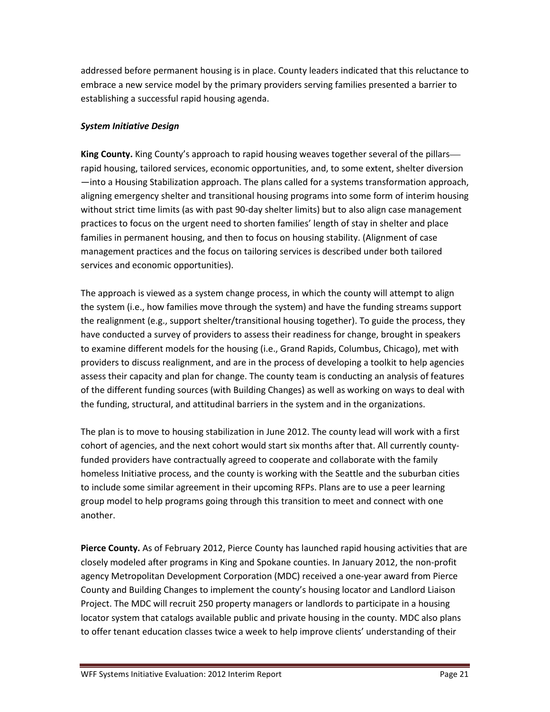addressed before permanent housing is in place. County leaders indicated that this reluctance to embrace a new service model by the primary providers serving families presented a barrier to establishing a successful rapid housing agenda.

# *System Initiative Design*

**King County.** King County's approach to rapid housing weaves together several of the pillars rapid housing, tailored services, economic opportunities, and, to some extent, shelter diversion —into a Housing Stabilization approach. The plans called for a systems transformation approach, aligning emergency shelter and transitional housing programs into some form of interim housing without strict time limits (as with past 90-day shelter limits) but to also align case management practices to focus on the urgent need to shorten families' length of stay in shelter and place families in permanent housing, and then to focus on housing stability. (Alignment of case management practices and the focus on tailoring services is described under both tailored services and economic opportunities).

The approach is viewed as a system change process, in which the county will attempt to align the system (i.e., how families move through the system) and have the funding streams support the realignment (e.g., support shelter/transitional housing together). To guide the process, they have conducted a survey of providers to assess their readiness for change, brought in speakers to examine different models for the housing (i.e., Grand Rapids, Columbus, Chicago), met with providers to discuss realignment, and are in the process of developing a toolkit to help agencies assess their capacity and plan for change. The county team is conducting an analysis of features of the different funding sources (with Building Changes) as well as working on ways to deal with the funding, structural, and attitudinal barriers in the system and in the organizations.

The plan is to move to housing stabilization in June 2012. The county lead will work with a first cohort of agencies, and the next cohort would start six months after that. All currently countyfunded providers have contractually agreed to cooperate and collaborate with the family homeless Initiative process, and the county is working with the Seattle and the suburban cities to include some similar agreement in their upcoming RFPs. Plans are to use a peer learning group model to help programs going through this transition to meet and connect with one another.

**Pierce County.** As of February 2012, Pierce County has launched rapid housing activities that are closely modeled after programs in King and Spokane counties. In January 2012, the non-profit agency Metropolitan Development Corporation (MDC) received a one-year award from Pierce County and Building Changes to implement the county's housing locator and Landlord Liaison Project. The MDC will recruit 250 property managers or landlords to participate in a housing locator system that catalogs available public and private housing in the county. MDC also plans to offer tenant education classes twice a week to help improve clients' understanding of their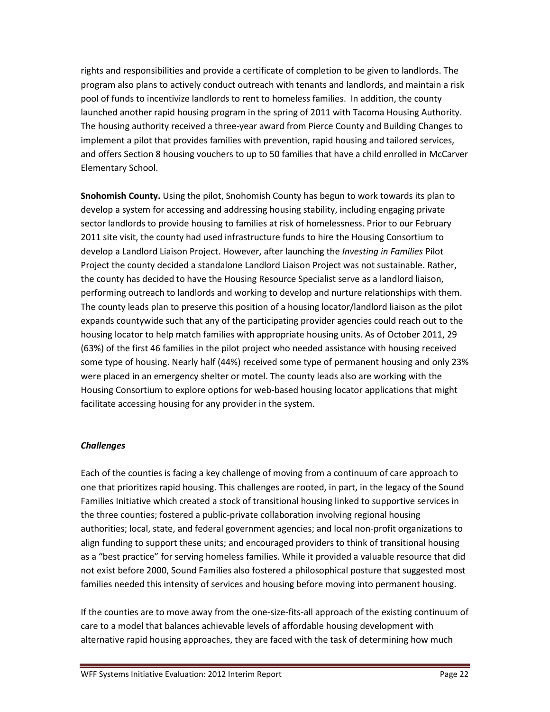rights and responsibilities and provide a certificate of completion to be given to landlords. The program also plans to actively conduct outreach with tenants and landlords, and maintain a risk pool of funds to incentivize landlords to rent to homeless families. In addition, the county launched another rapid housing program in the spring of 2011 with Tacoma Housing Authority. The housing authority received a three-year award from Pierce County and Building Changes to implement a pilot that provides families with prevention, rapid housing and tailored services, and offers Section 8 housing vouchers to up to 50 families that have a child enrolled in McCarver Elementary School.

**Snohomish County.** Using the pilot, Snohomish County has begun to work towards its plan to develop a system for accessing and addressing housing stability, including engaging private sector landlords to provide housing to families at risk of homelessness. Prior to our February 2011 site visit, the county had used infrastructure funds to hire the Housing Consortium to develop a Landlord Liaison Project. However, after launching the *Investing in Families* Pilot Project the county decided a standalone Landlord Liaison Project was not sustainable. Rather, the county has decided to have the Housing Resource Specialist serve as a landlord liaison, performing outreach to landlords and working to develop and nurture relationships with them. The county leads plan to preserve this position of a housing locator/landlord liaison as the pilot expands countywide such that any of the participating provider agencies could reach out to the housing locator to help match families with appropriate housing units. As of October 2011, 29 (63%) of the first 46 families in the pilot project who needed assistance with housing received some type of housing. Nearly half (44%) received some type of permanent housing and only 23% were placed in an emergency shelter or motel. The county leads also are working with the Housing Consortium to explore options for web-based housing locator applications that might facilitate accessing housing for any provider in the system.

### *Challenges*

Each of the counties is facing a key challenge of moving from a continuum of care approach to one that prioritizes rapid housing. This challenges are rooted, in part, in the legacy of the Sound Families Initiative which created a stock of transitional housing linked to supportive services in the three counties; fostered a public-private collaboration involving regional housing authorities; local, state, and federal government agencies; and local non-profit organizations to align funding to support these units; and encouraged providers to think of transitional housing as a "best practice" for serving homeless families. While it provided a valuable resource that did not exist before 2000, Sound Families also fostered a philosophical posture that suggested most families needed this intensity of services and housing before moving into permanent housing.

If the counties are to move away from the one-size-fits-all approach of the existing continuum of care to a model that balances achievable levels of affordable housing development with alternative rapid housing approaches, they are faced with the task of determining how much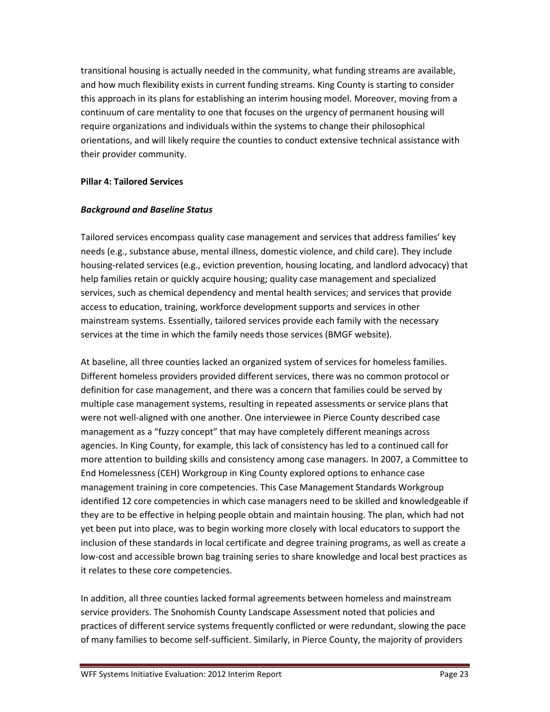transitional housing is actually needed in the community, what funding streams are available, and how much flexibility exists in current funding streams. King County is starting to consider this approach in its plans for establishing an interim housing model. Moreover, moving from a continuum of care mentality to one that focuses on the urgency of permanent housing will require organizations and individuals within the systems to change their philosophical orientations, and will likely require the counties to conduct extensive technical assistance with their provider community.

### **Pillar 4: Tailored Services**

### *Background and Baseline Status*

Tailored services encompass quality case management and services that address families' key needs (e.g., substance abuse, mental illness, domestic violence, and child care). They include housing-related services (e.g., eviction prevention, housing locating, and landlord advocacy) that help families retain or quickly acquire housing; quality case management and specialized services, such as chemical dependency and mental health services; and services that provide access to education, training, workforce development supports and services in other mainstream systems. Essentially, tailored services provide each family with the necessary services at the time in which the family needs those services (BMGF website).

At baseline, all three counties lacked an organized system of services for homeless families. Different homeless providers provided different services, there was no common protocol or definition for case management, and there was a concern that families could be served by multiple case management systems, resulting in repeated assessments or service plans that were not well-aligned with one another. One interviewee in Pierce County described case management as a "fuzzy concept" that may have completely different meanings across agencies. In King County, for example, this lack of consistency has led to a continued call for more attention to building skills and consistency among case managers. In 2007, a Committee to End Homelessness (CEH) Workgroup in King County explored options to enhance case management training in core competencies. This Case Management Standards Workgroup identified 12 core competencies in which case managers need to be skilled and knowledgeable if they are to be effective in helping people obtain and maintain housing. The plan, which had not yet been put into place, was to begin working more closely with local educators to support the inclusion of these standards in local certificate and degree training programs, as well as create a low-cost and accessible brown bag training series to share knowledge and local best practices as it relates to these core competencies.

In addition, all three counties lacked formal agreements between homeless and mainstream service providers. The Snohomish County Landscape Assessment noted that policies and practices of different service systems frequently conflicted or were redundant, slowing the pace of many families to become self-sufficient. Similarly, in Pierce County, the majority of providers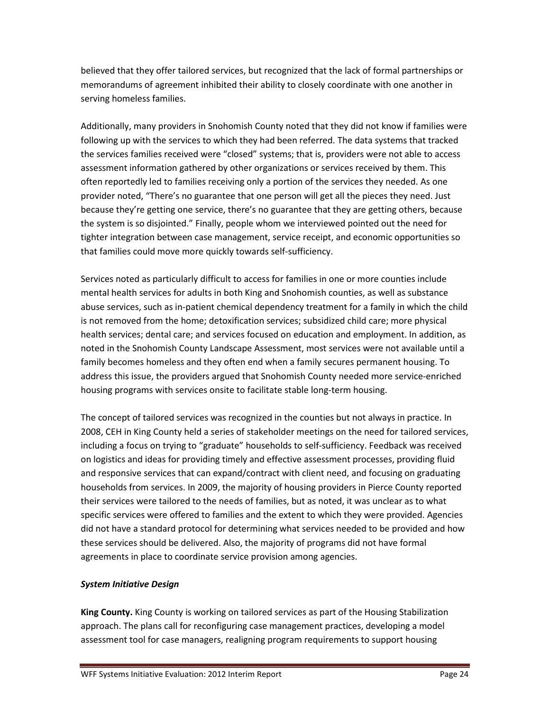believed that they offer tailored services, but recognized that the lack of formal partnerships or memorandums of agreement inhibited their ability to closely coordinate with one another in serving homeless families.

Additionally, many providers in Snohomish County noted that they did not know if families were following up with the services to which they had been referred. The data systems that tracked the services families received were "closed" systems; that is, providers were not able to access assessment information gathered by other organizations or services received by them. This often reportedly led to families receiving only a portion of the services they needed. As one provider noted, "There's no guarantee that one person will get all the pieces they need. Just because they're getting one service, there's no guarantee that they are getting others, because the system is so disjointed." Finally, people whom we interviewed pointed out the need for tighter integration between case management, service receipt, and economic opportunities so that families could move more quickly towards self-sufficiency.

Services noted as particularly difficult to access for families in one or more counties include mental health services for adults in both King and Snohomish counties, as well as substance abuse services, such as in-patient chemical dependency treatment for a family in which the child is not removed from the home; detoxification services; subsidized child care; more physical health services; dental care; and services focused on education and employment. In addition, as noted in the Snohomish County Landscape Assessment, most services were not available until a family becomes homeless and they often end when a family secures permanent housing. To address this issue, the providers argued that Snohomish County needed more service-enriched housing programs with services onsite to facilitate stable long-term housing.

The concept of tailored services was recognized in the counties but not always in practice. In 2008, CEH in King County held a series of stakeholder meetings on the need for tailored services, including a focus on trying to "graduate" households to self-sufficiency. Feedback was received on logistics and ideas for providing timely and effective assessment processes, providing fluid and responsive services that can expand/contract with client need, and focusing on graduating households from services. In 2009, the majority of housing providers in Pierce County reported their services were tailored to the needs of families, but as noted, it was unclear as to what specific services were offered to families and the extent to which they were provided. Agencies did not have a standard protocol for determining what services needed to be provided and how these services should be delivered. Also, the majority of programs did not have formal agreements in place to coordinate service provision among agencies.

### *System Initiative Design*

**King County.** King County is working on tailored services as part of the Housing Stabilization approach. The plans call for reconfiguring case management practices, developing a model assessment tool for case managers, realigning program requirements to support housing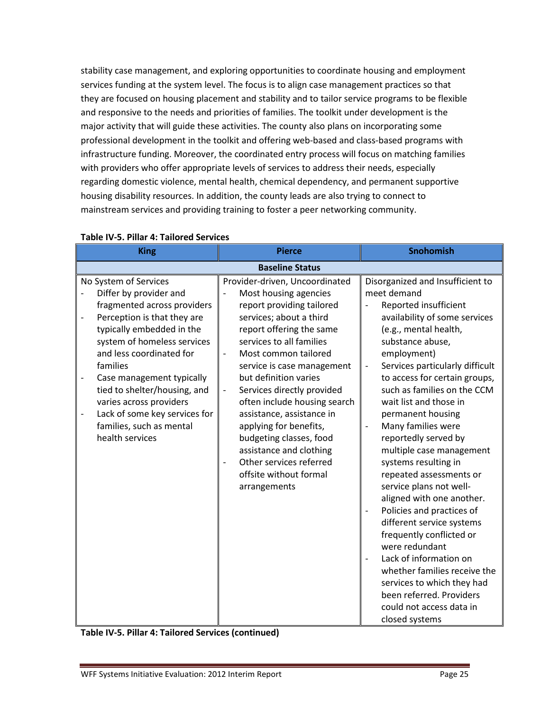stability case management, and exploring opportunities to coordinate housing and employment services funding at the system level. The focus is to align case management practices so that they are focused on housing placement and stability and to tailor service programs to be flexible and responsive to the needs and priorities of families. The toolkit under development is the major activity that will guide these activities. The county also plans on incorporating some professional development in the toolkit and offering web-based and class-based programs with infrastructure funding. Moreover, the coordinated entry process will focus on matching families with providers who offer appropriate levels of services to address their needs, especially regarding domestic violence, mental health, chemical dependency, and permanent supportive housing disability resources. In addition, the county leads are also trying to connect to mainstream services and providing training to foster a peer networking community.

| <b>King</b>                                                                                                                                                                                                                                                                                                                                                                               | <b>Pierce</b>                                                                                                                                                                                                                                                                                                                                                                                                                                                                                                                                    | Snohomish                                                                                                                                                                                                                                                                                                                                                                                                                                                                                                                                                                                                                                                                                                                                                                                                                                      |  |
|-------------------------------------------------------------------------------------------------------------------------------------------------------------------------------------------------------------------------------------------------------------------------------------------------------------------------------------------------------------------------------------------|--------------------------------------------------------------------------------------------------------------------------------------------------------------------------------------------------------------------------------------------------------------------------------------------------------------------------------------------------------------------------------------------------------------------------------------------------------------------------------------------------------------------------------------------------|------------------------------------------------------------------------------------------------------------------------------------------------------------------------------------------------------------------------------------------------------------------------------------------------------------------------------------------------------------------------------------------------------------------------------------------------------------------------------------------------------------------------------------------------------------------------------------------------------------------------------------------------------------------------------------------------------------------------------------------------------------------------------------------------------------------------------------------------|--|
| <b>Baseline Status</b>                                                                                                                                                                                                                                                                                                                                                                    |                                                                                                                                                                                                                                                                                                                                                                                                                                                                                                                                                  |                                                                                                                                                                                                                                                                                                                                                                                                                                                                                                                                                                                                                                                                                                                                                                                                                                                |  |
| No System of Services<br>Differ by provider and<br>fragmented across providers<br>Perception is that they are<br>typically embedded in the<br>system of homeless services<br>and less coordinated for<br>families<br>Case management typically<br>tied to shelter/housing, and<br>varies across providers<br>Lack of some key services for<br>families, such as mental<br>health services | Provider-driven, Uncoordinated<br>Most housing agencies<br>report providing tailored<br>services; about a third<br>report offering the same<br>services to all families<br>Most common tailored<br>$\qquad \qquad -$<br>service is case management<br>but definition varies<br>Services directly provided<br>$\qquad \qquad -$<br>often include housing search<br>assistance, assistance in<br>applying for benefits,<br>budgeting classes, food<br>assistance and clothing<br>Other services referred<br>offsite without formal<br>arrangements | Disorganized and Insufficient to<br>meet demand<br>Reported insufficient<br>availability of some services<br>(e.g., mental health,<br>substance abuse,<br>employment)<br>Services particularly difficult<br>$\overline{\phantom{0}}$<br>to access for certain groups,<br>such as families on the CCM<br>wait list and those in<br>permanent housing<br>Many families were<br>$\overline{\phantom{0}}$<br>reportedly served by<br>multiple case management<br>systems resulting in<br>repeated assessments or<br>service plans not well-<br>aligned with one another.<br>Policies and practices of<br>different service systems<br>frequently conflicted or<br>were redundant<br>Lack of information on<br>whether families receive the<br>services to which they had<br>been referred. Providers<br>could not access data in<br>closed systems |  |

## **Table IV-5. Pillar 4: Tailored Services**

**Table IV-5. Pillar 4: Tailored Services (continued)**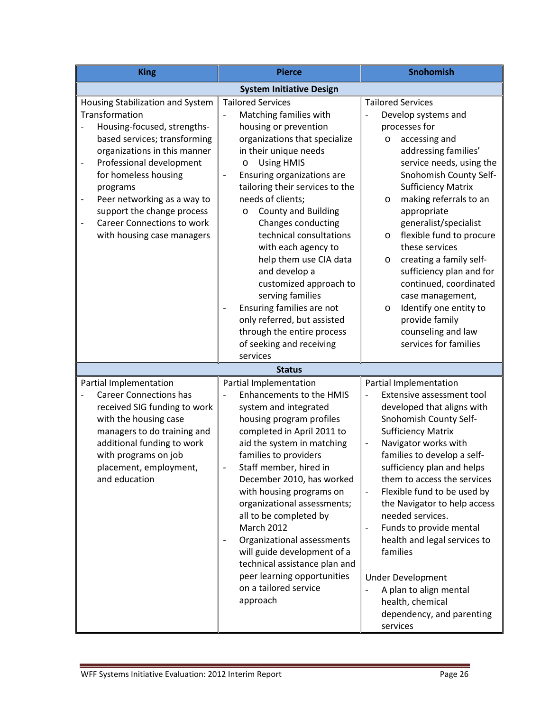| <b>King</b>                                                                                                                                                                                                                                                                                                                                                                                                   | <b>Pierce</b>                                                                                                                                                                                                                                                                                                                                                                                                                                                                                                                                                                                                                                 | Snohomish                                                                                                                                                                                                                                                                                                                                                                                                                                                                                                                                                                                             |  |  |
|---------------------------------------------------------------------------------------------------------------------------------------------------------------------------------------------------------------------------------------------------------------------------------------------------------------------------------------------------------------------------------------------------------------|-----------------------------------------------------------------------------------------------------------------------------------------------------------------------------------------------------------------------------------------------------------------------------------------------------------------------------------------------------------------------------------------------------------------------------------------------------------------------------------------------------------------------------------------------------------------------------------------------------------------------------------------------|-------------------------------------------------------------------------------------------------------------------------------------------------------------------------------------------------------------------------------------------------------------------------------------------------------------------------------------------------------------------------------------------------------------------------------------------------------------------------------------------------------------------------------------------------------------------------------------------------------|--|--|
| <b>System Initiative Design</b>                                                                                                                                                                                                                                                                                                                                                                               |                                                                                                                                                                                                                                                                                                                                                                                                                                                                                                                                                                                                                                               |                                                                                                                                                                                                                                                                                                                                                                                                                                                                                                                                                                                                       |  |  |
| Housing Stabilization and System<br>Transformation<br>Housing-focused, strengths-<br>based services; transforming<br>organizations in this manner<br>Professional development<br>$\qquad \qquad -$<br>for homeless housing<br>programs<br>Peer networking as a way to<br>$\overline{a}$<br>support the change process<br><b>Career Connections to work</b><br>$\qquad \qquad -$<br>with housing case managers | <b>Tailored Services</b><br>Matching families with<br>housing or prevention<br>organizations that specialize<br>in their unique needs<br><b>Using HMIS</b><br>$\circ$<br>Ensuring organizations are<br>$\qquad \qquad -$<br>tailoring their services to the<br>needs of clients;<br><b>County and Building</b><br>O<br><b>Changes conducting</b><br>technical consultations<br>with each agency to<br>help them use CIA data<br>and develop a<br>customized approach to<br>serving families<br>Ensuring families are not<br>$\overline{\phantom{0}}$<br>only referred, but assisted<br>through the entire process<br>of seeking and receiving | <b>Tailored Services</b><br>Develop systems and<br>processes for<br>accessing and<br>$\circ$<br>addressing families'<br>service needs, using the<br>Snohomish County Self-<br><b>Sufficiency Matrix</b><br>making referrals to an<br>$\circ$<br>appropriate<br>generalist/specialist<br>flexible fund to procure<br>$\circ$<br>these services<br>creating a family self-<br>O<br>sufficiency plan and for<br>continued, coordinated<br>case management,<br>Identify one entity to<br>$\circ$<br>provide family<br>counseling and law<br>services for families                                         |  |  |
|                                                                                                                                                                                                                                                                                                                                                                                                               | services<br><b>Status</b>                                                                                                                                                                                                                                                                                                                                                                                                                                                                                                                                                                                                                     |                                                                                                                                                                                                                                                                                                                                                                                                                                                                                                                                                                                                       |  |  |
| Partial Implementation<br><b>Career Connections has</b><br>received SIG funding to work<br>with the housing case<br>managers to do training and<br>additional funding to work<br>with programs on job<br>placement, employment,<br>and education                                                                                                                                                              | Partial Implementation<br><b>Enhancements to the HMIS</b><br>system and integrated<br>housing program profiles<br>completed in April 2011 to<br>aid the system in matching<br>families to providers<br>Staff member, hired in<br>December 2010, has worked<br>with housing programs on<br>organizational assessments;<br>all to be completed by<br><b>March 2012</b><br>Organizational assessments<br>$\overline{\phantom{a}}$<br>will guide development of a<br>technical assistance plan and<br>peer learning opportunities<br>on a tailored service<br>approach                                                                            | Partial Implementation<br>Extensive assessment tool<br>developed that aligns with<br>Snohomish County Self-<br><b>Sufficiency Matrix</b><br>Navigator works with<br>$\qquad \qquad \blacksquare$<br>families to develop a self-<br>sufficiency plan and helps<br>them to access the services<br>Flexible fund to be used by<br>$\overline{\phantom{a}}$<br>the Navigator to help access<br>needed services.<br>Funds to provide mental<br>health and legal services to<br>families<br><b>Under Development</b><br>A plan to align mental<br>health, chemical<br>dependency, and parenting<br>services |  |  |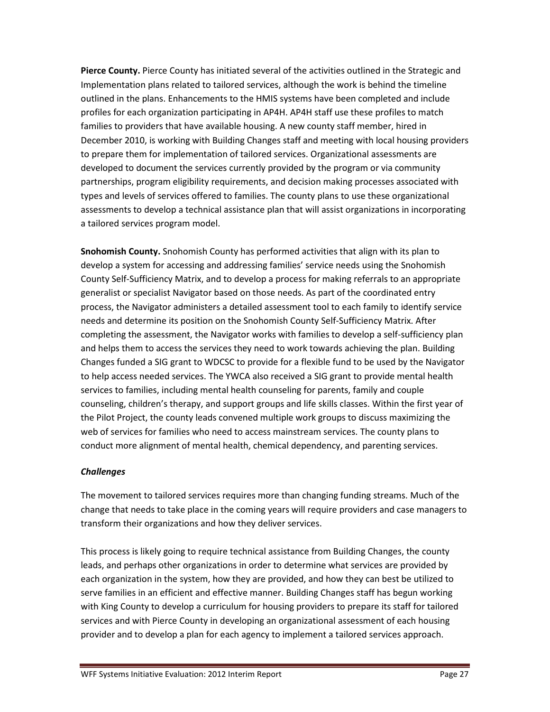**Pierce County.** Pierce County has initiated several of the activities outlined in the Strategic and Implementation plans related to tailored services, although the work is behind the timeline outlined in the plans. Enhancements to the HMIS systems have been completed and include profiles for each organization participating in AP4H. AP4H staff use these profiles to match families to providers that have available housing. A new county staff member, hired in December 2010, is working with Building Changes staff and meeting with local housing providers to prepare them for implementation of tailored services. Organizational assessments are developed to document the services currently provided by the program or via community partnerships, program eligibility requirements, and decision making processes associated with types and levels of services offered to families. The county plans to use these organizational assessments to develop a technical assistance plan that will assist organizations in incorporating a tailored services program model.

**Snohomish County.** Snohomish County has performed activities that align with its plan to develop a system for accessing and addressing families' service needs using the Snohomish County Self-Sufficiency Matrix, and to develop a process for making referrals to an appropriate generalist or specialist Navigator based on those needs. As part of the coordinated entry process, the Navigator administers a detailed assessment tool to each family to identify service needs and determine its position on the Snohomish County Self-Sufficiency Matrix. After completing the assessment, the Navigator works with families to develop a self-sufficiency plan and helps them to access the services they need to work towards achieving the plan. Building Changes funded a SIG grant to WDCSC to provide for a flexible fund to be used by the Navigator to help access needed services. The YWCA also received a SIG grant to provide mental health services to families, including mental health counseling for parents, family and couple counseling, children's therapy, and support groups and life skills classes. Within the first year of the Pilot Project, the county leads convened multiple work groups to discuss maximizing the web of services for families who need to access mainstream services. The county plans to conduct more alignment of mental health, chemical dependency, and parenting services.

# *Challenges*

The movement to tailored services requires more than changing funding streams. Much of the change that needs to take place in the coming years will require providers and case managers to transform their organizations and how they deliver services.

This process is likely going to require technical assistance from Building Changes, the county leads, and perhaps other organizations in order to determine what services are provided by each organization in the system, how they are provided, and how they can best be utilized to serve families in an efficient and effective manner. Building Changes staff has begun working with King County to develop a curriculum for housing providers to prepare its staff for tailored services and with Pierce County in developing an organizational assessment of each housing provider and to develop a plan for each agency to implement a tailored services approach.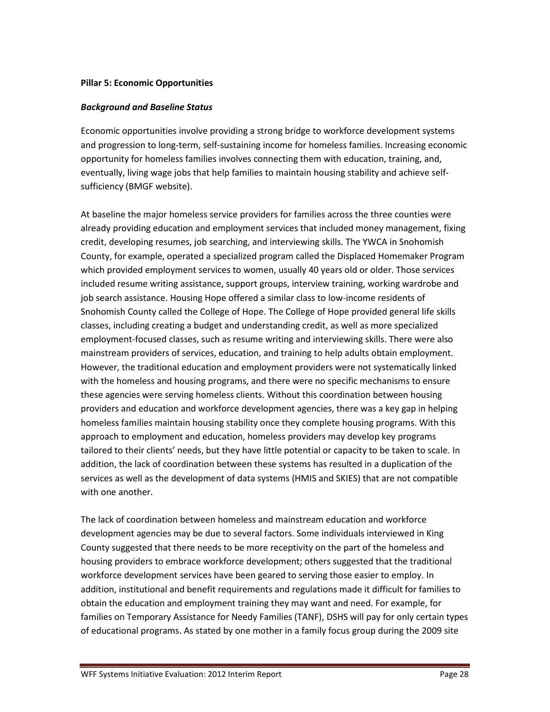### **Pillar 5: Economic Opportunities**

### *Background and Baseline Status*

Economic opportunities involve providing a strong bridge to workforce development systems and progression to long-term, self-sustaining income for homeless families. Increasing economic opportunity for homeless families involves connecting them with education, training, and, eventually, living wage jobs that help families to maintain housing stability and achieve selfsufficiency (BMGF website).

At baseline the major homeless service providers for families across the three counties were already providing education and employment services that included money management, fixing credit, developing resumes, job searching, and interviewing skills. The YWCA in Snohomish County, for example, operated a specialized program called the Displaced Homemaker Program which provided employment services to women, usually 40 years old or older. Those services included resume writing assistance, support groups, interview training, working wardrobe and job search assistance. Housing Hope offered a similar class to low-income residents of Snohomish County called the College of Hope. The College of Hope provided general life skills classes, including creating a budget and understanding credit, as well as more specialized employment-focused classes, such as resume writing and interviewing skills. There were also mainstream providers of services, education, and training to help adults obtain employment. However, the traditional education and employment providers were not systematically linked with the homeless and housing programs, and there were no specific mechanisms to ensure these agencies were serving homeless clients. Without this coordination between housing providers and education and workforce development agencies, there was a key gap in helping homeless families maintain housing stability once they complete housing programs. With this approach to employment and education, homeless providers may develop key programs tailored to their clients' needs, but they have little potential or capacity to be taken to scale. In addition, the lack of coordination between these systems has resulted in a duplication of the services as well as the development of data systems (HMIS and SKIES) that are not compatible with one another.

The lack of coordination between homeless and mainstream education and workforce development agencies may be due to several factors. Some individuals interviewed in King County suggested that there needs to be more receptivity on the part of the homeless and housing providers to embrace workforce development; others suggested that the traditional workforce development services have been geared to serving those easier to employ. In addition, institutional and benefit requirements and regulations made it difficult for families to obtain the education and employment training they may want and need. For example, for families on Temporary Assistance for Needy Families (TANF), DSHS will pay for only certain types of educational programs. As stated by one mother in a family focus group during the 2009 site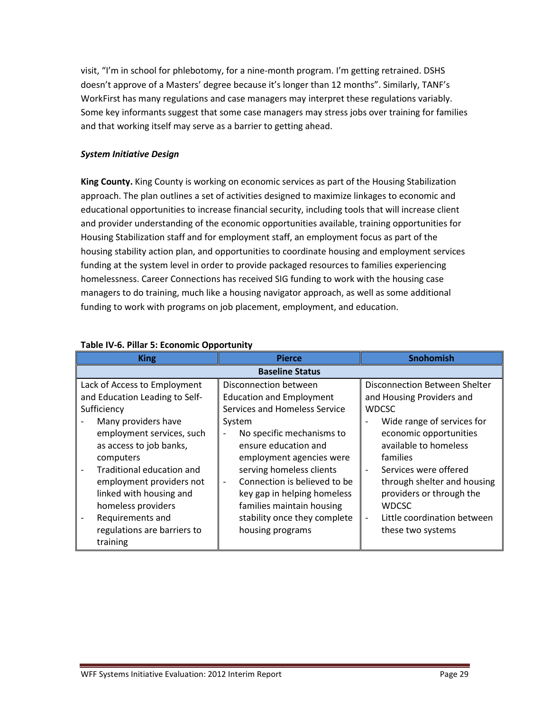visit, "I'm in school for phlebotomy, for a nine-month program. I'm getting retrained. DSHS doesn't approve of a Masters' degree because it's longer than 12 months". Similarly, TANF's WorkFirst has many regulations and case managers may interpret these regulations variably. Some key informants suggest that some case managers may stress jobs over training for families and that working itself may serve as a barrier to getting ahead.

## *System Initiative Design*

**King County.** King County is working on economic services as part of the Housing Stabilization approach. The plan outlines a set of activities designed to maximize linkages to economic and educational opportunities to increase financial security, including tools that will increase client and provider understanding of the economic opportunities available, training opportunities for Housing Stabilization staff and for employment staff, an employment focus as part of the housing stability action plan, and opportunities to coordinate housing and employment services funding at the system level in order to provide packaged resources to families experiencing homelessness. Career Connections has received SIG funding to work with the housing case managers to do training, much like a housing navigator approach, as well as some additional funding to work with programs on job placement, employment, and education.

| <b>King</b>                                                                                                                                                                                                                                                                                                                            | <b>Pierce</b>                                                                                                                                                                                                                                                                                                                                                    | <b>Snohomish</b>                                                                                                                                                                                                                                                                                                                |  |
|----------------------------------------------------------------------------------------------------------------------------------------------------------------------------------------------------------------------------------------------------------------------------------------------------------------------------------------|------------------------------------------------------------------------------------------------------------------------------------------------------------------------------------------------------------------------------------------------------------------------------------------------------------------------------------------------------------------|---------------------------------------------------------------------------------------------------------------------------------------------------------------------------------------------------------------------------------------------------------------------------------------------------------------------------------|--|
| <b>Baseline Status</b>                                                                                                                                                                                                                                                                                                                 |                                                                                                                                                                                                                                                                                                                                                                  |                                                                                                                                                                                                                                                                                                                                 |  |
| Lack of Access to Employment<br>and Education Leading to Self-<br>Sufficiency<br>Many providers have<br>employment services, such<br>as access to job banks,<br>computers<br>Traditional education and<br>employment providers not<br>linked with housing and<br>homeless providers<br>Requirements and<br>regulations are barriers to | Disconnection between<br><b>Education and Employment</b><br>Services and Homeless Service<br>System<br>No specific mechanisms to<br>ensure education and<br>employment agencies were<br>serving homeless clients<br>Connection is believed to be<br>key gap in helping homeless<br>families maintain housing<br>stability once they complete<br>housing programs | Disconnection Between Shelter<br>and Housing Providers and<br><b>WDCSC</b><br>Wide range of services for<br>economic opportunities<br>available to homeless<br>families<br>Services were offered<br>through shelter and housing<br>providers or through the<br><b>WDCSC</b><br>Little coordination between<br>these two systems |  |
| training                                                                                                                                                                                                                                                                                                                               |                                                                                                                                                                                                                                                                                                                                                                  |                                                                                                                                                                                                                                                                                                                                 |  |

### **Table IV-6. Pillar 5: Economic Opportunity**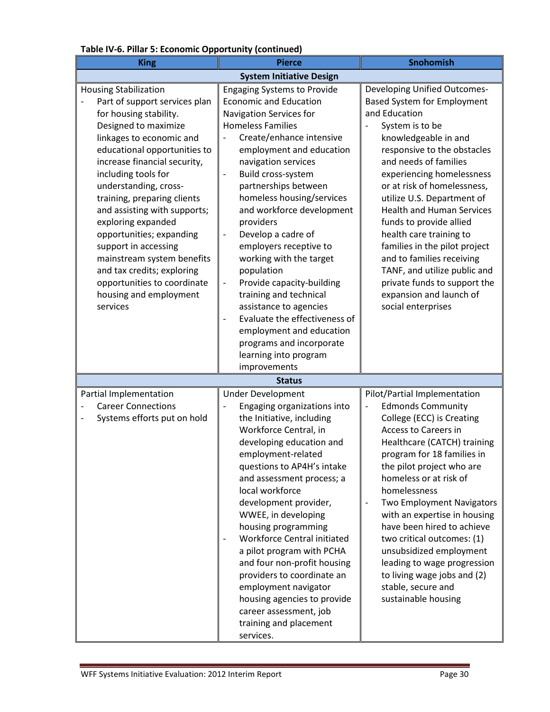| <b>King</b>                                                                                                                                                                                                                                                                                                                                                                                                                                                                                                                           | <b>Pierce</b>                                                                                                                                                                                                                                                                                                                                                                                                                                                                                                                                                                                                                                                                                                                      | Snohomish                                                                                                                                                                                                                                                                                                                                                                                                                                                                                                                                                 |  |
|---------------------------------------------------------------------------------------------------------------------------------------------------------------------------------------------------------------------------------------------------------------------------------------------------------------------------------------------------------------------------------------------------------------------------------------------------------------------------------------------------------------------------------------|------------------------------------------------------------------------------------------------------------------------------------------------------------------------------------------------------------------------------------------------------------------------------------------------------------------------------------------------------------------------------------------------------------------------------------------------------------------------------------------------------------------------------------------------------------------------------------------------------------------------------------------------------------------------------------------------------------------------------------|-----------------------------------------------------------------------------------------------------------------------------------------------------------------------------------------------------------------------------------------------------------------------------------------------------------------------------------------------------------------------------------------------------------------------------------------------------------------------------------------------------------------------------------------------------------|--|
| <b>System Initiative Design</b>                                                                                                                                                                                                                                                                                                                                                                                                                                                                                                       |                                                                                                                                                                                                                                                                                                                                                                                                                                                                                                                                                                                                                                                                                                                                    |                                                                                                                                                                                                                                                                                                                                                                                                                                                                                                                                                           |  |
| <b>Housing Stabilization</b><br>Part of support services plan<br>for housing stability.<br>Designed to maximize<br>linkages to economic and<br>educational opportunities to<br>increase financial security,<br>including tools for<br>understanding, cross-<br>training, preparing clients<br>and assisting with supports;<br>exploring expanded<br>opportunities; expanding<br>support in accessing<br>mainstream system benefits<br>and tax credits; exploring<br>opportunities to coordinate<br>housing and employment<br>services | <b>Engaging Systems to Provide</b><br><b>Economic and Education</b><br>Navigation Services for<br><b>Homeless Families</b><br>Create/enhance intensive<br>employment and education<br>navigation services<br>Build cross-system<br>$\qquad \qquad -$<br>partnerships between<br>homeless housing/services<br>and workforce development<br>providers<br>Develop a cadre of<br>$\blacksquare$<br>employers receptive to<br>working with the target<br>population<br>Provide capacity-building<br>$\overline{\phantom{a}}$<br>training and technical<br>assistance to agencies<br>Evaluate the effectiveness of<br>$\qquad \qquad -$<br>employment and education<br>programs and incorporate<br>learning into program<br>improvements | Developing Unified Outcomes-<br><b>Based System for Employment</b><br>and Education<br>System is to be<br>knowledgeable in and<br>responsive to the obstacles<br>and needs of families<br>experiencing homelessness<br>or at risk of homelessness,<br>utilize U.S. Department of<br><b>Health and Human Services</b><br>funds to provide allied<br>health care training to<br>families in the pilot project<br>and to families receiving<br>TANF, and utilize public and<br>private funds to support the<br>expansion and launch of<br>social enterprises |  |
|                                                                                                                                                                                                                                                                                                                                                                                                                                                                                                                                       | <b>Status</b>                                                                                                                                                                                                                                                                                                                                                                                                                                                                                                                                                                                                                                                                                                                      |                                                                                                                                                                                                                                                                                                                                                                                                                                                                                                                                                           |  |
| Partial Implementation<br><b>Career Connections</b><br>Systems efforts put on hold                                                                                                                                                                                                                                                                                                                                                                                                                                                    | <b>Under Development</b><br>Engaging organizations into<br>the Initiative, including<br>Workforce Central, in<br>developing education and<br>employment-related<br>questions to AP4H's intake<br>and assessment process; a<br>local workforce<br>development provider,<br>WWEE, in developing<br>housing programming<br>Workforce Central initiated<br>a pilot program with PCHA<br>and four non-profit housing<br>providers to coordinate an<br>employment navigator<br>housing agencies to provide<br>career assessment, job<br>training and placement<br>services.                                                                                                                                                              | Pilot/Partial Implementation<br><b>Edmonds Community</b><br>College (ECC) is Creating<br>Access to Careers in<br>Healthcare (CATCH) training<br>program for 18 families in<br>the pilot project who are<br>homeless or at risk of<br>homelessness<br>Two Employment Navigators<br>with an expertise in housing<br>have been hired to achieve<br>two critical outcomes: (1)<br>unsubsidized employment<br>leading to wage progression<br>to living wage jobs and (2)<br>stable, secure and<br>sustainable housing                                          |  |

# **Table IV-6. Pillar 5: Economic Opportunity (continued)**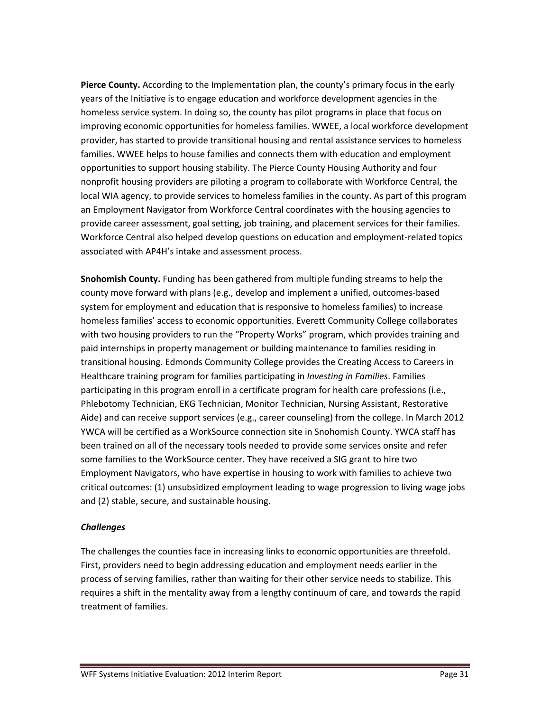**Pierce County.** According to the Implementation plan, the county's primary focus in the early years of the Initiative is to engage education and workforce development agencies in the homeless service system. In doing so, the county has pilot programs in place that focus on improving economic opportunities for homeless families. WWEE, a local workforce development provider, has started to provide transitional housing and rental assistance services to homeless families. WWEE helps to house families and connects them with education and employment opportunities to support housing stability. The Pierce County Housing Authority and four nonprofit housing providers are piloting a program to collaborate with Workforce Central, the local WIA agency, to provide services to homeless families in the county. As part of this program an Employment Navigator from Workforce Central coordinates with the housing agencies to provide career assessment, goal setting, job training, and placement services for their families. Workforce Central also helped develop questions on education and employment-related topics associated with AP4H's intake and assessment process.

**Snohomish County.** Funding has been gathered from multiple funding streams to help the county move forward with plans (e.g., develop and implement a unified, outcomes-based system for employment and education that is responsive to homeless families) to increase homeless families' access to economic opportunities. Everett Community College collaborates with two housing providers to run the "Property Works" program, which provides training and paid internships in property management or building maintenance to families residing in transitional housing. Edmonds Community College provides the Creating Access to Careers in Healthcare training program for families participating in *Investing in Families*. Families participating in this program enroll in a certificate program for health care professions (i.e., Phlebotomy Technician, EKG Technician, Monitor Technician, Nursing Assistant, Restorative Aide) and can receive support services (e.g., career counseling) from the college. In March 2012 YWCA will be certified as a WorkSource connection site in Snohomish County. YWCA staff has been trained on all of the necessary tools needed to provide some services onsite and refer some families to the WorkSource center. They have received a SIG grant to hire two Employment Navigators, who have expertise in housing to work with families to achieve two critical outcomes: (1) unsubsidized employment leading to wage progression to living wage jobs and (2) stable, secure, and sustainable housing.

### *Challenges*

The challenges the counties face in increasing links to economic opportunities are threefold. First, providers need to begin addressing education and employment needs earlier in the process of serving families, rather than waiting for their other service needs to stabilize. This requires a shift in the mentality away from a lengthy continuum of care, and towards the rapid treatment of families.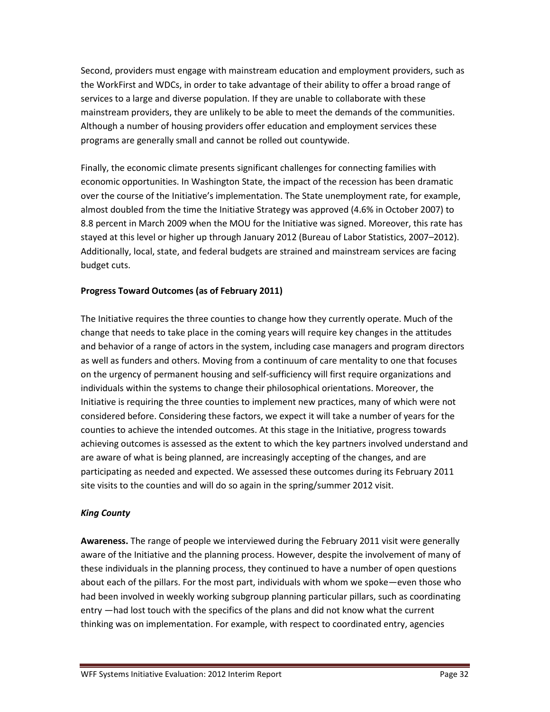Second, providers must engage with mainstream education and employment providers, such as the WorkFirst and WDCs, in order to take advantage of their ability to offer a broad range of services to a large and diverse population. If they are unable to collaborate with these mainstream providers, they are unlikely to be able to meet the demands of the communities. Although a number of housing providers offer education and employment services these programs are generally small and cannot be rolled out countywide.

Finally, the economic climate presents significant challenges for connecting families with economic opportunities. In Washington State, the impact of the recession has been dramatic over the course of the Initiative's implementation. The State unemployment rate, for example, almost doubled from the time the Initiative Strategy was approved (4.6% in October 2007) to 8.8 percent in March 2009 when the MOU for the Initiative was signed. Moreover, this rate has stayed at this level or higher up through January 2012 (Bureau of Labor Statistics, 2007–2012). Additionally, local, state, and federal budgets are strained and mainstream services are facing budget cuts.

# **Progress Toward Outcomes (as of February 2011)**

The Initiative requires the three counties to change how they currently operate. Much of the change that needs to take place in the coming years will require key changes in the attitudes and behavior of a range of actors in the system, including case managers and program directors as well as funders and others. Moving from a continuum of care mentality to one that focuses on the urgency of permanent housing and self-sufficiency will first require organizations and individuals within the systems to change their philosophical orientations. Moreover, the Initiative is requiring the three counties to implement new practices, many of which were not considered before. Considering these factors, we expect it will take a number of years for the counties to achieve the intended outcomes. At this stage in the Initiative, progress towards achieving outcomes is assessed as the extent to which the key partners involved understand and are aware of what is being planned, are increasingly accepting of the changes, and are participating as needed and expected. We assessed these outcomes during its February 2011 site visits to the counties and will do so again in the spring/summer 2012 visit.

# *King County*

**Awareness.** The range of people we interviewed during the February 2011 visit were generally aware of the Initiative and the planning process. However, despite the involvement of many of these individuals in the planning process, they continued to have a number of open questions about each of the pillars. For the most part, individuals with whom we spoke—even those who had been involved in weekly working subgroup planning particular pillars, such as coordinating entry —had lost touch with the specifics of the plans and did not know what the current thinking was on implementation. For example, with respect to coordinated entry, agencies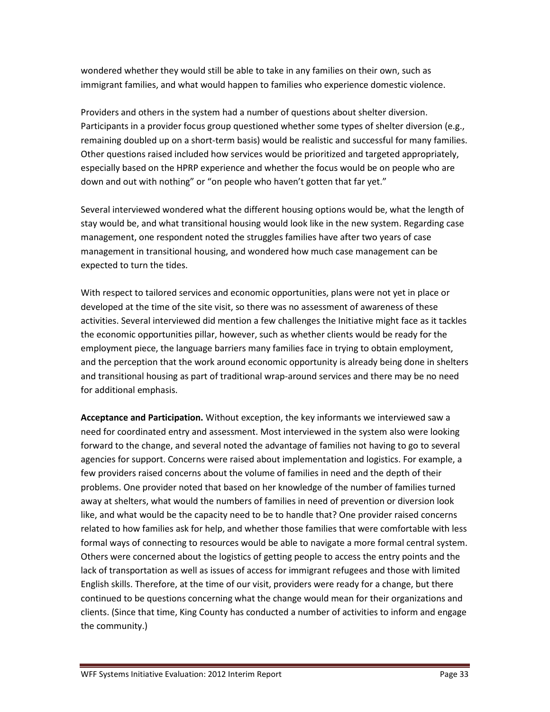wondered whether they would still be able to take in any families on their own, such as immigrant families, and what would happen to families who experience domestic violence.

Providers and others in the system had a number of questions about shelter diversion. Participants in a provider focus group questioned whether some types of shelter diversion (e.g., remaining doubled up on a short-term basis) would be realistic and successful for many families. Other questions raised included how services would be prioritized and targeted appropriately, especially based on the HPRP experience and whether the focus would be on people who are down and out with nothing" or "on people who haven't gotten that far yet."

Several interviewed wondered what the different housing options would be, what the length of stay would be, and what transitional housing would look like in the new system. Regarding case management, one respondent noted the struggles families have after two years of case management in transitional housing, and wondered how much case management can be expected to turn the tides.

With respect to tailored services and economic opportunities, plans were not yet in place or developed at the time of the site visit, so there was no assessment of awareness of these activities. Several interviewed did mention a few challenges the Initiative might face as it tackles the economic opportunities pillar, however, such as whether clients would be ready for the employment piece, the language barriers many families face in trying to obtain employment, and the perception that the work around economic opportunity is already being done in shelters and transitional housing as part of traditional wrap-around services and there may be no need for additional emphasis.

**Acceptance and Participation.** Without exception, the key informants we interviewed saw a need for coordinated entry and assessment. Most interviewed in the system also were looking forward to the change, and several noted the advantage of families not having to go to several agencies for support. Concerns were raised about implementation and logistics. For example, a few providers raised concerns about the volume of families in need and the depth of their problems. One provider noted that based on her knowledge of the number of families turned away at shelters, what would the numbers of families in need of prevention or diversion look like, and what would be the capacity need to be to handle that? One provider raised concerns related to how families ask for help, and whether those families that were comfortable with less formal ways of connecting to resources would be able to navigate a more formal central system. Others were concerned about the logistics of getting people to access the entry points and the lack of transportation as well as issues of access for immigrant refugees and those with limited English skills. Therefore, at the time of our visit, providers were ready for a change, but there continued to be questions concerning what the change would mean for their organizations and clients. (Since that time, King County has conducted a number of activities to inform and engage the community.)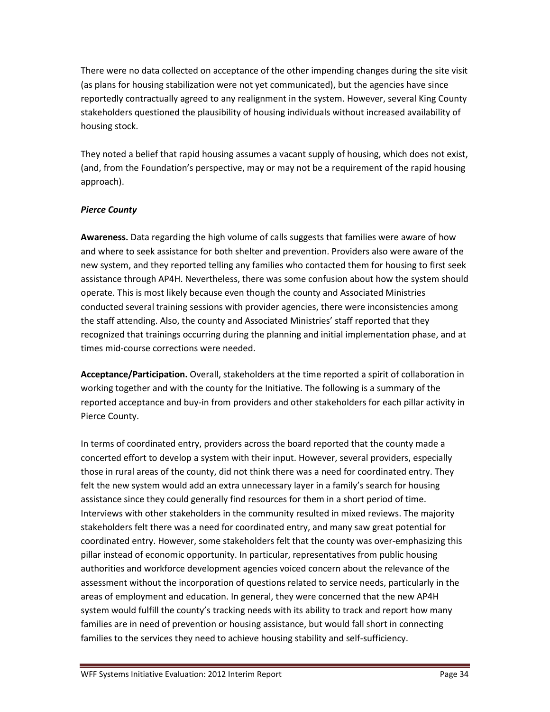There were no data collected on acceptance of the other impending changes during the site visit (as plans for housing stabilization were not yet communicated), but the agencies have since reportedly contractually agreed to any realignment in the system. However, several King County stakeholders questioned the plausibility of housing individuals without increased availability of housing stock.

They noted a belief that rapid housing assumes a vacant supply of housing, which does not exist, (and, from the Foundation's perspective, may or may not be a requirement of the rapid housing approach).

# *Pierce County*

**Awareness.** Data regarding the high volume of calls suggests that families were aware of how and where to seek assistance for both shelter and prevention. Providers also were aware of the new system, and they reported telling any families who contacted them for housing to first seek assistance through AP4H. Nevertheless, there was some confusion about how the system should operate. This is most likely because even though the county and Associated Ministries conducted several training sessions with provider agencies, there were inconsistencies among the staff attending. Also, the county and Associated Ministries' staff reported that they recognized that trainings occurring during the planning and initial implementation phase, and at times mid-course corrections were needed.

**Acceptance/Participation.** Overall, stakeholders at the time reported a spirit of collaboration in working together and with the county for the Initiative. The following is a summary of the reported acceptance and buy-in from providers and other stakeholders for each pillar activity in Pierce County.

In terms of coordinated entry, providers across the board reported that the county made a concerted effort to develop a system with their input. However, several providers, especially those in rural areas of the county, did not think there was a need for coordinated entry. They felt the new system would add an extra unnecessary layer in a family's search for housing assistance since they could generally find resources for them in a short period of time. Interviews with other stakeholders in the community resulted in mixed reviews. The majority stakeholders felt there was a need for coordinated entry, and many saw great potential for coordinated entry. However, some stakeholders felt that the county was over-emphasizing this pillar instead of economic opportunity. In particular, representatives from public housing authorities and workforce development agencies voiced concern about the relevance of the assessment without the incorporation of questions related to service needs, particularly in the areas of employment and education. In general, they were concerned that the new AP4H system would fulfill the county's tracking needs with its ability to track and report how many families are in need of prevention or housing assistance, but would fall short in connecting families to the services they need to achieve housing stability and self-sufficiency.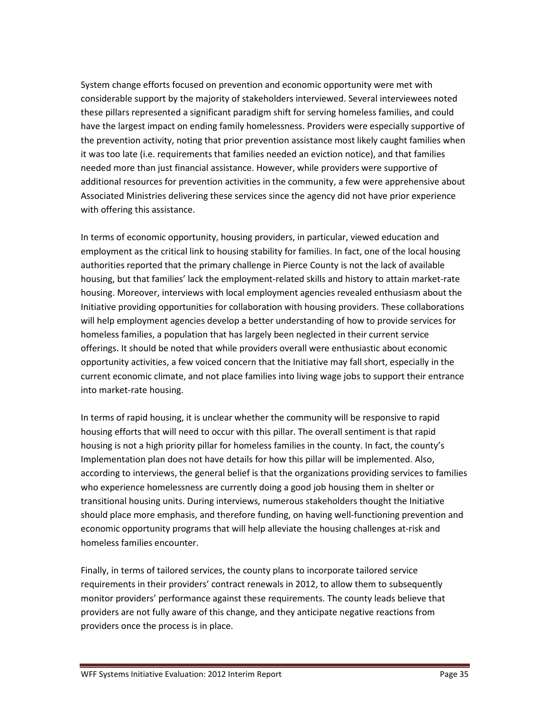System change efforts focused on prevention and economic opportunity were met with considerable support by the majority of stakeholders interviewed. Several interviewees noted these pillars represented a significant paradigm shift for serving homeless families, and could have the largest impact on ending family homelessness. Providers were especially supportive of the prevention activity, noting that prior prevention assistance most likely caught families when it was too late (i.e. requirements that families needed an eviction notice), and that families needed more than just financial assistance. However, while providers were supportive of additional resources for prevention activities in the community, a few were apprehensive about Associated Ministries delivering these services since the agency did not have prior experience with offering this assistance.

In terms of economic opportunity, housing providers, in particular, viewed education and employment as the critical link to housing stability for families. In fact, one of the local housing authorities reported that the primary challenge in Pierce County is not the lack of available housing, but that families' lack the employment-related skills and history to attain market-rate housing. Moreover, interviews with local employment agencies revealed enthusiasm about the Initiative providing opportunities for collaboration with housing providers. These collaborations will help employment agencies develop a better understanding of how to provide services for homeless families, a population that has largely been neglected in their current service offerings. It should be noted that while providers overall were enthusiastic about economic opportunity activities, a few voiced concern that the Initiative may fall short, especially in the current economic climate, and not place families into living wage jobs to support their entrance into market-rate housing.

In terms of rapid housing, it is unclear whether the community will be responsive to rapid housing efforts that will need to occur with this pillar. The overall sentiment is that rapid housing is not a high priority pillar for homeless families in the county. In fact, the county's Implementation plan does not have details for how this pillar will be implemented. Also, according to interviews, the general belief is that the organizations providing services to families who experience homelessness are currently doing a good job housing them in shelter or transitional housing units. During interviews, numerous stakeholders thought the Initiative should place more emphasis, and therefore funding, on having well-functioning prevention and economic opportunity programs that will help alleviate the housing challenges at-risk and homeless families encounter.

Finally, in terms of tailored services, the county plans to incorporate tailored service requirements in their providers' contract renewals in 2012, to allow them to subsequently monitor providers' performance against these requirements. The county leads believe that providers are not fully aware of this change, and they anticipate negative reactions from providers once the process is in place.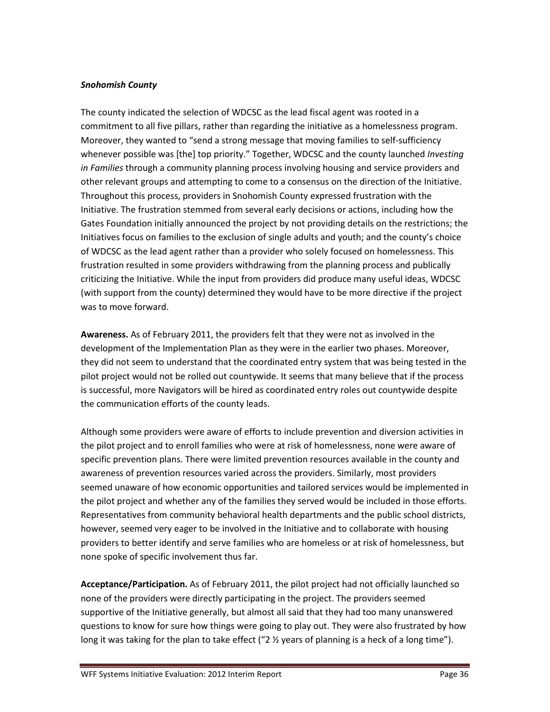# *Snohomish County*

The county indicated the selection of WDCSC as the lead fiscal agent was rooted in a commitment to all five pillars, rather than regarding the initiative as a homelessness program. Moreover, they wanted to "send a strong message that moving families to self-sufficiency whenever possible was [the] top priority." Together, WDCSC and the county launched *Investing in Families* through a community planning process involving housing and service providers and other relevant groups and attempting to come to a consensus on the direction of the Initiative. Throughout this process, providers in Snohomish County expressed frustration with the Initiative. The frustration stemmed from several early decisions or actions, including how the Gates Foundation initially announced the project by not providing details on the restrictions; the Initiatives focus on families to the exclusion of single adults and youth; and the county's choice of WDCSC as the lead agent rather than a provider who solely focused on homelessness. This frustration resulted in some providers withdrawing from the planning process and publically criticizing the Initiative. While the input from providers did produce many useful ideas, WDCSC (with support from the county) determined they would have to be more directive if the project was to move forward.

**Awareness.** As of February 2011, the providers felt that they were not as involved in the development of the Implementation Plan as they were in the earlier two phases. Moreover, they did not seem to understand that the coordinated entry system that was being tested in the pilot project would not be rolled out countywide. It seems that many believe that if the process is successful, more Navigators will be hired as coordinated entry roles out countywide despite the communication efforts of the county leads.

Although some providers were aware of efforts to include prevention and diversion activities in the pilot project and to enroll families who were at risk of homelessness, none were aware of specific prevention plans. There were limited prevention resources available in the county and awareness of prevention resources varied across the providers. Similarly, most providers seemed unaware of how economic opportunities and tailored services would be implemented in the pilot project and whether any of the families they served would be included in those efforts. Representatives from community behavioral health departments and the public school districts, however, seemed very eager to be involved in the Initiative and to collaborate with housing providers to better identify and serve families who are homeless or at risk of homelessness, but none spoke of specific involvement thus far.

**Acceptance/Participation.** As of February 2011, the pilot project had not officially launched so none of the providers were directly participating in the project. The providers seemed supportive of the Initiative generally, but almost all said that they had too many unanswered questions to know for sure how things were going to play out. They were also frustrated by how long it was taking for the plan to take effect ("2  $\frac{1}{2}$  years of planning is a heck of a long time").